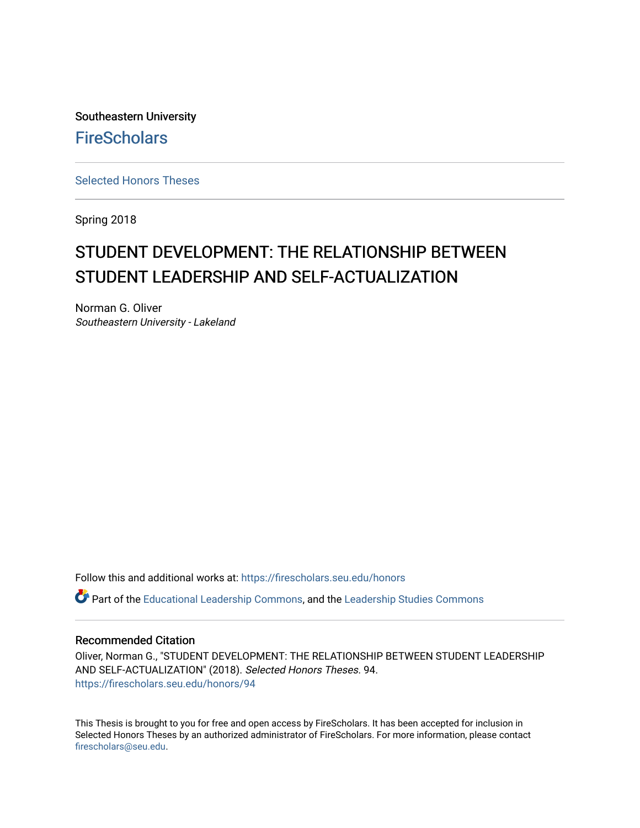Southeastern University **FireScholars** 

[Selected Honors Theses](https://firescholars.seu.edu/honors)

Spring 2018

# STUDENT DEVELOPMENT: THE RELATIONSHIP BETWEEN STUDENT LEADERSHIP AND SELF-ACTUALIZATION

Norman G. Oliver Southeastern University - Lakeland

Follow this and additional works at: [https://firescholars.seu.edu/honors](https://firescholars.seu.edu/honors?utm_source=firescholars.seu.edu%2Fhonors%2F94&utm_medium=PDF&utm_campaign=PDFCoverPages)

Part of the [Educational Leadership Commons,](http://network.bepress.com/hgg/discipline/1230?utm_source=firescholars.seu.edu%2Fhonors%2F94&utm_medium=PDF&utm_campaign=PDFCoverPages) and the [Leadership Studies Commons](http://network.bepress.com/hgg/discipline/1250?utm_source=firescholars.seu.edu%2Fhonors%2F94&utm_medium=PDF&utm_campaign=PDFCoverPages)

### Recommended Citation

Oliver, Norman G., "STUDENT DEVELOPMENT: THE RELATIONSHIP BETWEEN STUDENT LEADERSHIP AND SELF-ACTUALIZATION" (2018). Selected Honors Theses. 94. [https://firescholars.seu.edu/honors/94](https://firescholars.seu.edu/honors/94?utm_source=firescholars.seu.edu%2Fhonors%2F94&utm_medium=PDF&utm_campaign=PDFCoverPages) 

This Thesis is brought to you for free and open access by FireScholars. It has been accepted for inclusion in Selected Honors Theses by an authorized administrator of FireScholars. For more information, please contact [firescholars@seu.edu.](mailto:firescholars@seu.edu)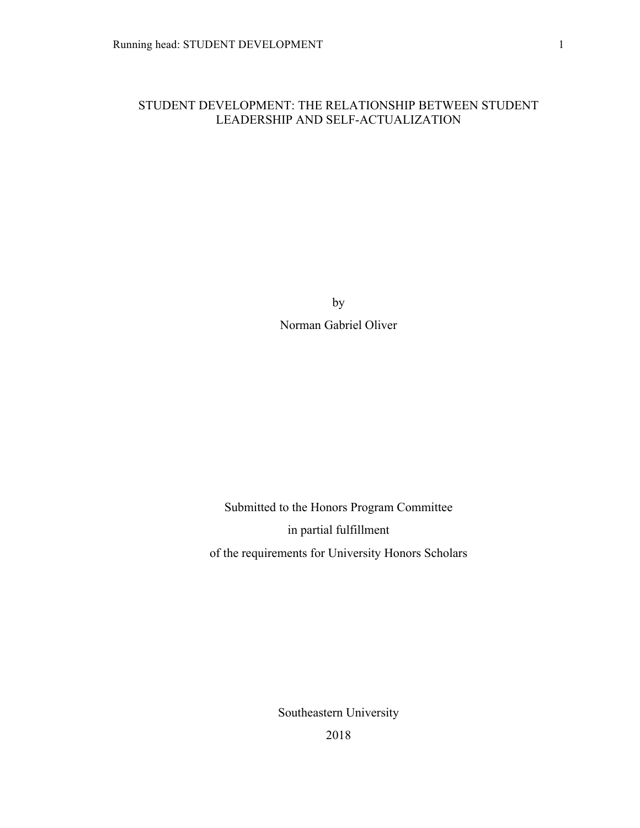### STUDENT DEVELOPMENT: THE RELATIONSHIP BETWEEN STUDENT LEADERSHIP AND SELF-ACTUALIZATION

by Norman Gabriel Oliver

Submitted to the Honors Program Committee in partial fulfillment of the requirements for University Honors Scholars

Southeastern University

2018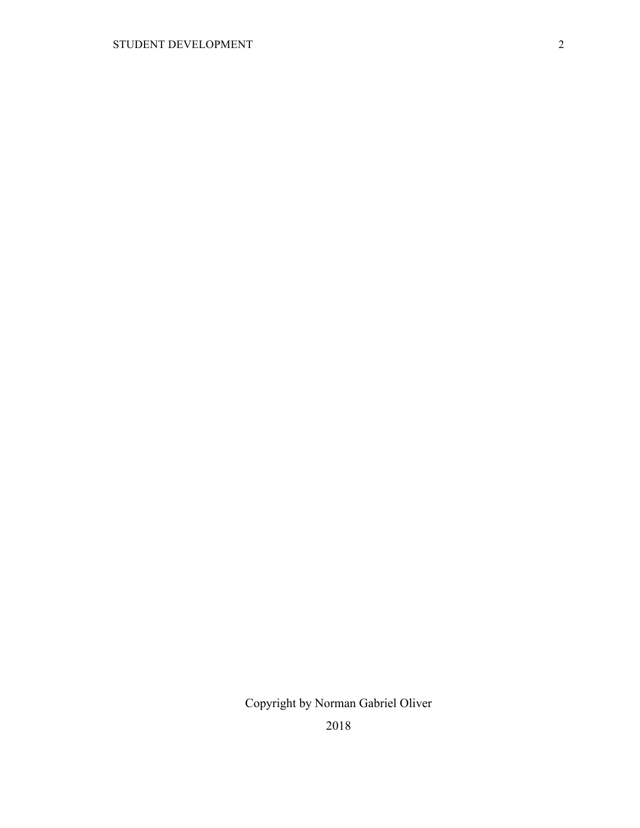2018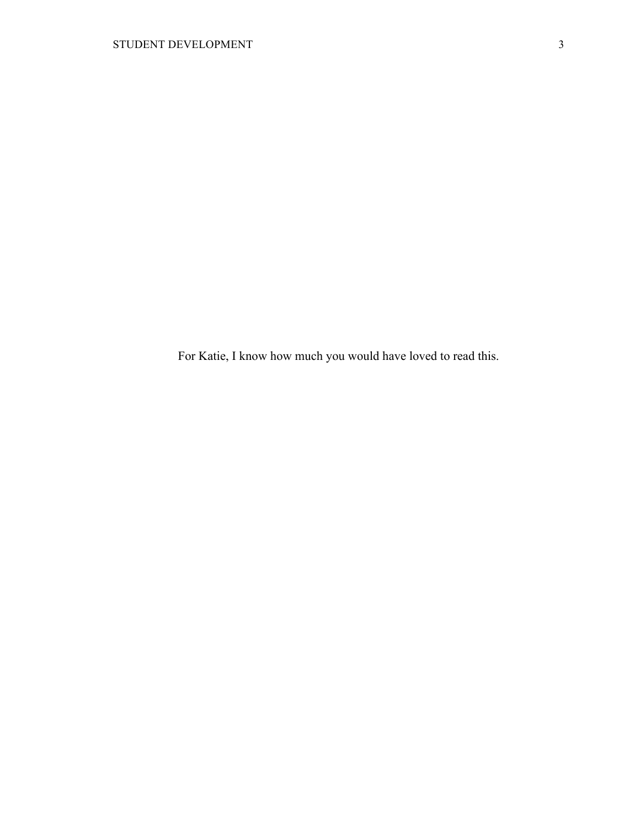For Katie, I know how much you would have loved to read this.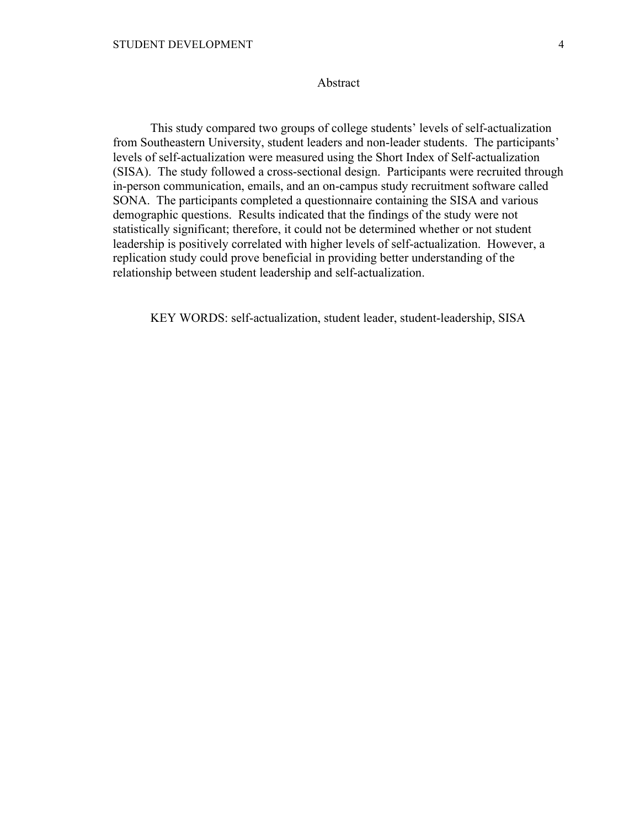### Abstract

This study compared two groups of college students' levels of self-actualization from Southeastern University, student leaders and non-leader students. The participants' levels of self-actualization were measured using the Short Index of Self-actualization (SISA). The study followed a cross-sectional design. Participants were recruited through in-person communication, emails, and an on-campus study recruitment software called SONA. The participants completed a questionnaire containing the SISA and various demographic questions. Results indicated that the findings of the study were not statistically significant; therefore, it could not be determined whether or not student leadership is positively correlated with higher levels of self-actualization. However, a replication study could prove beneficial in providing better understanding of the relationship between student leadership and self-actualization.

KEY WORDS: self-actualization, student leader, student-leadership, SISA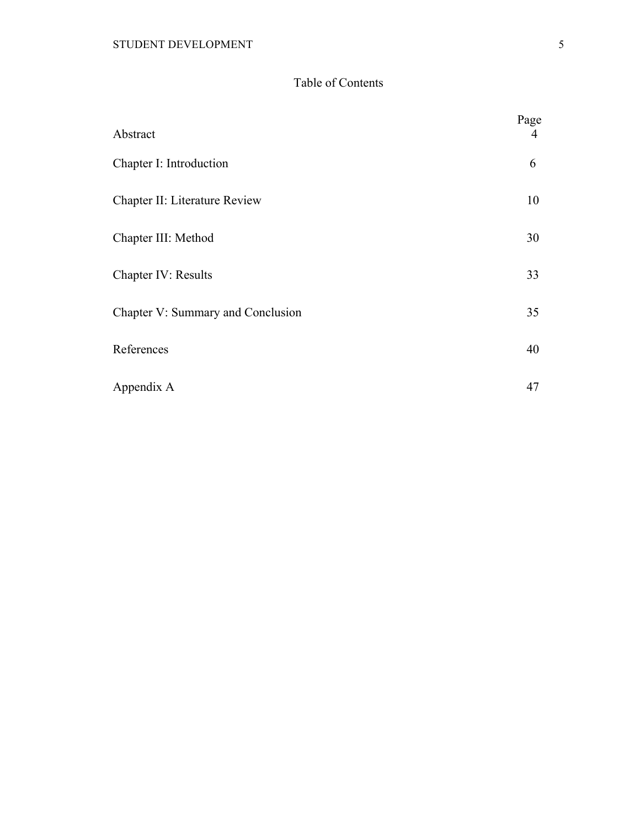### Table of Contents

| Abstract                          | Page<br>4 |
|-----------------------------------|-----------|
| Chapter I: Introduction           | 6         |
| Chapter II: Literature Review     | 10        |
| Chapter III: Method               | 30        |
| Chapter IV: Results               | 33        |
| Chapter V: Summary and Conclusion | 35        |
| References                        | 40        |
| Appendix A                        | 47        |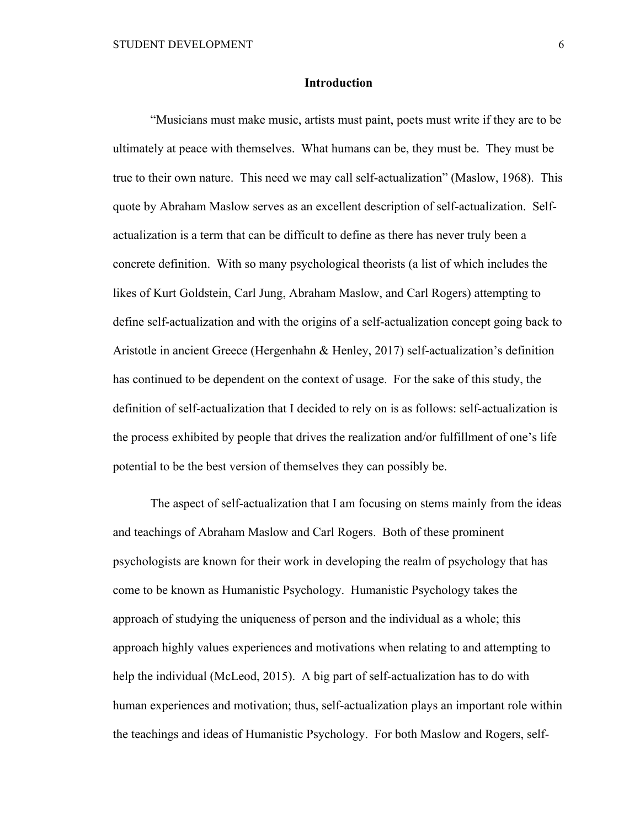### **Introduction**

"Musicians must make music, artists must paint, poets must write if they are to be ultimately at peace with themselves. What humans can be, they must be. They must be true to their own nature. This need we may call self-actualization" (Maslow, 1968). This quote by Abraham Maslow serves as an excellent description of self-actualization. Selfactualization is a term that can be difficult to define as there has never truly been a concrete definition. With so many psychological theorists (a list of which includes the likes of Kurt Goldstein, Carl Jung, Abraham Maslow, and Carl Rogers) attempting to define self-actualization and with the origins of a self-actualization concept going back to Aristotle in ancient Greece (Hergenhahn & Henley, 2017) self-actualization's definition has continued to be dependent on the context of usage. For the sake of this study, the definition of self-actualization that I decided to rely on is as follows: self-actualization is the process exhibited by people that drives the realization and/or fulfillment of one's life potential to be the best version of themselves they can possibly be.

The aspect of self-actualization that I am focusing on stems mainly from the ideas and teachings of Abraham Maslow and Carl Rogers. Both of these prominent psychologists are known for their work in developing the realm of psychology that has come to be known as Humanistic Psychology. Humanistic Psychology takes the approach of studying the uniqueness of person and the individual as a whole; this approach highly values experiences and motivations when relating to and attempting to help the individual (McLeod, 2015). A big part of self-actualization has to do with human experiences and motivation; thus, self-actualization plays an important role within the teachings and ideas of Humanistic Psychology. For both Maslow and Rogers, self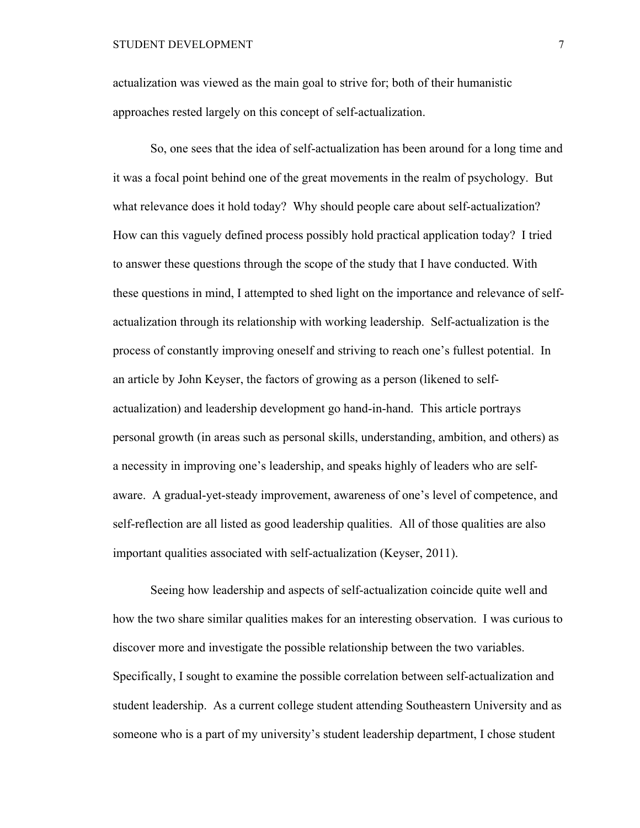actualization was viewed as the main goal to strive for; both of their humanistic approaches rested largely on this concept of self-actualization.

So, one sees that the idea of self-actualization has been around for a long time and it was a focal point behind one of the great movements in the realm of psychology. But what relevance does it hold today? Why should people care about self-actualization? How can this vaguely defined process possibly hold practical application today? I tried to answer these questions through the scope of the study that I have conducted. With these questions in mind, I attempted to shed light on the importance and relevance of selfactualization through its relationship with working leadership. Self-actualization is the process of constantly improving oneself and striving to reach one's fullest potential. In an article by John Keyser, the factors of growing as a person (likened to selfactualization) and leadership development go hand-in-hand. This article portrays personal growth (in areas such as personal skills, understanding, ambition, and others) as a necessity in improving one's leadership, and speaks highly of leaders who are selfaware. A gradual-yet-steady improvement, awareness of one's level of competence, and self-reflection are all listed as good leadership qualities. All of those qualities are also important qualities associated with self-actualization (Keyser, 2011).

Seeing how leadership and aspects of self-actualization coincide quite well and how the two share similar qualities makes for an interesting observation. I was curious to discover more and investigate the possible relationship between the two variables. Specifically, I sought to examine the possible correlation between self-actualization and student leadership. As a current college student attending Southeastern University and as someone who is a part of my university's student leadership department, I chose student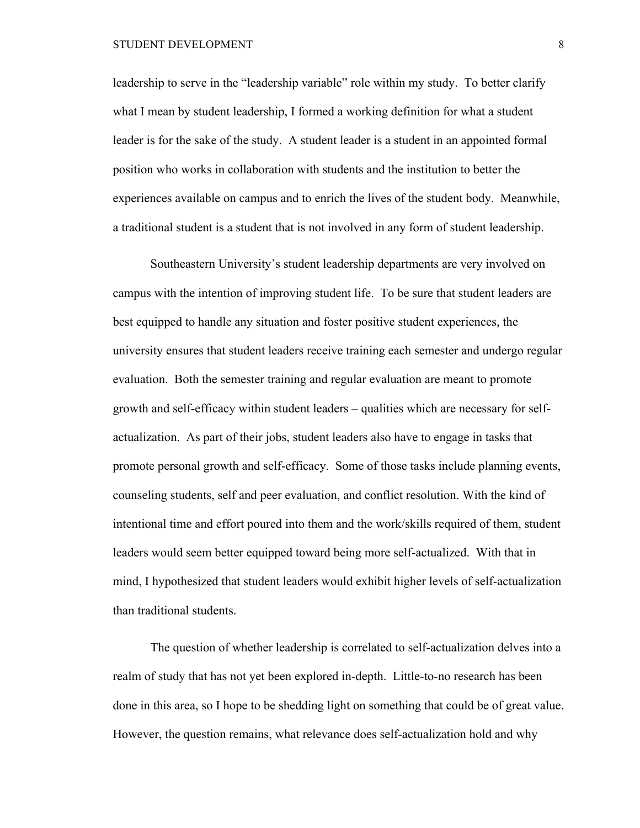#### STUDENT DEVELOPMENT 8

leadership to serve in the "leadership variable" role within my study. To better clarify what I mean by student leadership, I formed a working definition for what a student leader is for the sake of the study. A student leader is a student in an appointed formal position who works in collaboration with students and the institution to better the experiences available on campus and to enrich the lives of the student body. Meanwhile, a traditional student is a student that is not involved in any form of student leadership.

Southeastern University's student leadership departments are very involved on campus with the intention of improving student life. To be sure that student leaders are best equipped to handle any situation and foster positive student experiences, the university ensures that student leaders receive training each semester and undergo regular evaluation. Both the semester training and regular evaluation are meant to promote growth and self-efficacy within student leaders – qualities which are necessary for selfactualization. As part of their jobs, student leaders also have to engage in tasks that promote personal growth and self-efficacy. Some of those tasks include planning events, counseling students, self and peer evaluation, and conflict resolution. With the kind of intentional time and effort poured into them and the work/skills required of them, student leaders would seem better equipped toward being more self-actualized. With that in mind, I hypothesized that student leaders would exhibit higher levels of self-actualization than traditional students.

The question of whether leadership is correlated to self-actualization delves into a realm of study that has not yet been explored in-depth. Little-to-no research has been done in this area, so I hope to be shedding light on something that could be of great value. However, the question remains, what relevance does self-actualization hold and why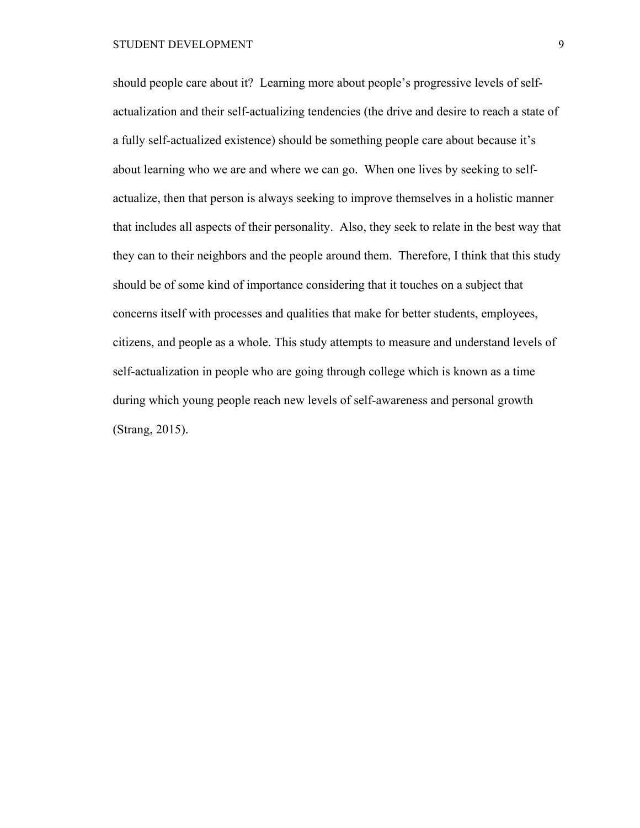should people care about it? Learning more about people's progressive levels of selfactualization and their self-actualizing tendencies (the drive and desire to reach a state of a fully self-actualized existence) should be something people care about because it's about learning who we are and where we can go. When one lives by seeking to selfactualize, then that person is always seeking to improve themselves in a holistic manner that includes all aspects of their personality. Also, they seek to relate in the best way that they can to their neighbors and the people around them. Therefore, I think that this study should be of some kind of importance considering that it touches on a subject that concerns itself with processes and qualities that make for better students, employees, citizens, and people as a whole. This study attempts to measure and understand levels of self-actualization in people who are going through college which is known as a time during which young people reach new levels of self-awareness and personal growth (Strang, 2015).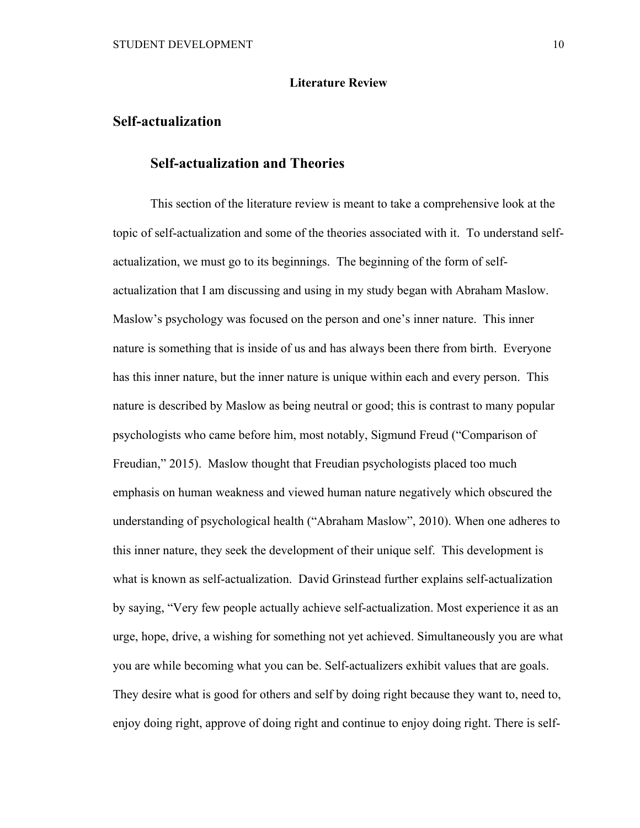#### **Literature Review**

### **Self-actualization**

### **Self-actualization and Theories**

This section of the literature review is meant to take a comprehensive look at the topic of self-actualization and some of the theories associated with it. To understand selfactualization, we must go to its beginnings. The beginning of the form of selfactualization that I am discussing and using in my study began with Abraham Maslow. Maslow's psychology was focused on the person and one's inner nature. This inner nature is something that is inside of us and has always been there from birth. Everyone has this inner nature, but the inner nature is unique within each and every person. This nature is described by Maslow as being neutral or good; this is contrast to many popular psychologists who came before him, most notably, Sigmund Freud ("Comparison of Freudian," 2015). Maslow thought that Freudian psychologists placed too much emphasis on human weakness and viewed human nature negatively which obscured the understanding of psychological health ("Abraham Maslow", 2010). When one adheres to this inner nature, they seek the development of their unique self. This development is what is known as self-actualization. David Grinstead further explains self-actualization by saying, "Very few people actually achieve self-actualization. Most experience it as an urge, hope, drive, a wishing for something not yet achieved. Simultaneously you are what you are while becoming what you can be. Self-actualizers exhibit values that are goals. They desire what is good for others and self by doing right because they want to, need to, enjoy doing right, approve of doing right and continue to enjoy doing right. There is self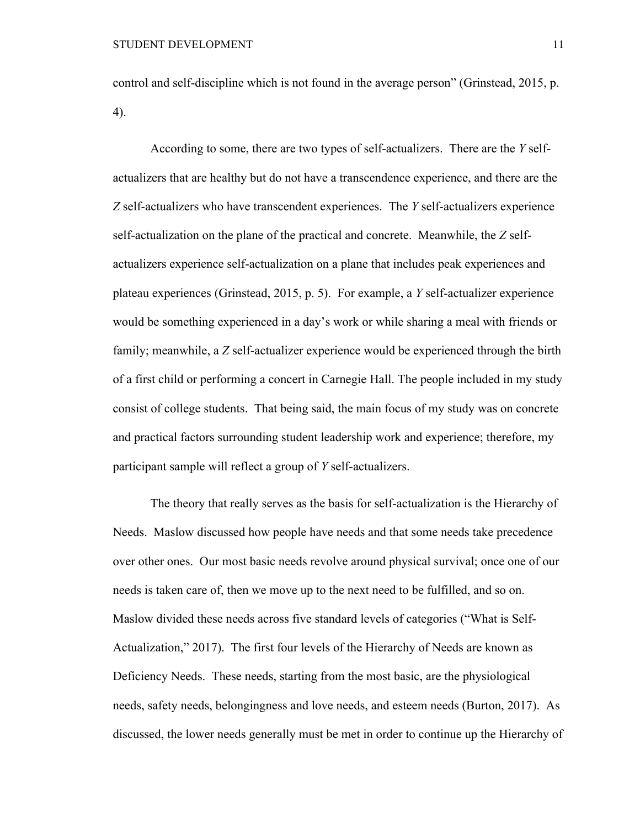control and self-discipline which is not found in the average person" (Grinstead, 2015, p. 4).

According to some, there are two types of self-actualizers. There are the *Y* selfactualizers that are healthy but do not have a transcendence experience, and there are the *Z* self-actualizers who have transcendent experiences. The *Y* self-actualizers experience self-actualization on the plane of the practical and concrete. Meanwhile, the *Z* selfactualizers experience self-actualization on a plane that includes peak experiences and plateau experiences (Grinstead, 2015, p. 5). For example, a *Y* self-actualizer experience would be something experienced in a day's work or while sharing a meal with friends or family; meanwhile, a *Z* self-actualizer experience would be experienced through the birth of a first child or performing a concert in Carnegie Hall. The people included in my study consist of college students. That being said, the main focus of my study was on concrete and practical factors surrounding student leadership work and experience; therefore, my participant sample will reflect a group of *Y* self-actualizers.

The theory that really serves as the basis for self-actualization is the Hierarchy of Needs. Maslow discussed how people have needs and that some needs take precedence over other ones. Our most basic needs revolve around physical survival; once one of our needs is taken care of, then we move up to the next need to be fulfilled, and so on. Maslow divided these needs across five standard levels of categories ("What is Self-Actualization," 2017). The first four levels of the Hierarchy of Needs are known as Deficiency Needs. These needs, starting from the most basic, are the physiological needs, safety needs, belongingness and love needs, and esteem needs (Burton, 2017). As discussed, the lower needs generally must be met in order to continue up the Hierarchy of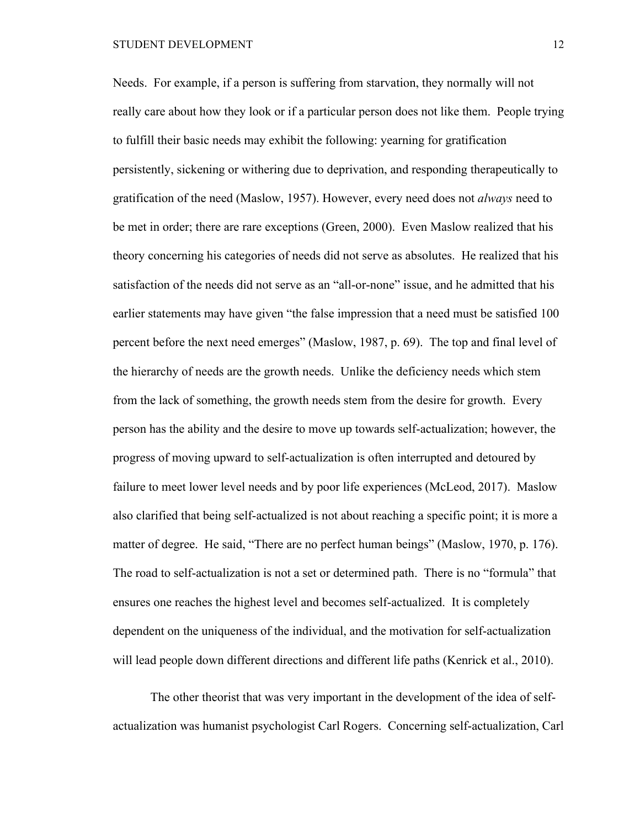#### STUDENT DEVELOPMENT 12

Needs. For example, if a person is suffering from starvation, they normally will not really care about how they look or if a particular person does not like them. People trying to fulfill their basic needs may exhibit the following: yearning for gratification persistently, sickening or withering due to deprivation, and responding therapeutically to gratification of the need (Maslow, 1957). However, every need does not *always* need to be met in order; there are rare exceptions (Green, 2000). Even Maslow realized that his theory concerning his categories of needs did not serve as absolutes. He realized that his satisfaction of the needs did not serve as an "all-or-none" issue, and he admitted that his earlier statements may have given "the false impression that a need must be satisfied 100 percent before the next need emerges" (Maslow, 1987, p. 69). The top and final level of the hierarchy of needs are the growth needs. Unlike the deficiency needs which stem from the lack of something, the growth needs stem from the desire for growth. Every person has the ability and the desire to move up towards self-actualization; however, the progress of moving upward to self-actualization is often interrupted and detoured by failure to meet lower level needs and by poor life experiences (McLeod, 2017). Maslow also clarified that being self-actualized is not about reaching a specific point; it is more a matter of degree. He said, "There are no perfect human beings" (Maslow, 1970, p. 176). The road to self-actualization is not a set or determined path. There is no "formula" that ensures one reaches the highest level and becomes self-actualized. It is completely dependent on the uniqueness of the individual, and the motivation for self-actualization will lead people down different directions and different life paths (Kenrick et al., 2010).

The other theorist that was very important in the development of the idea of selfactualization was humanist psychologist Carl Rogers. Concerning self-actualization, Carl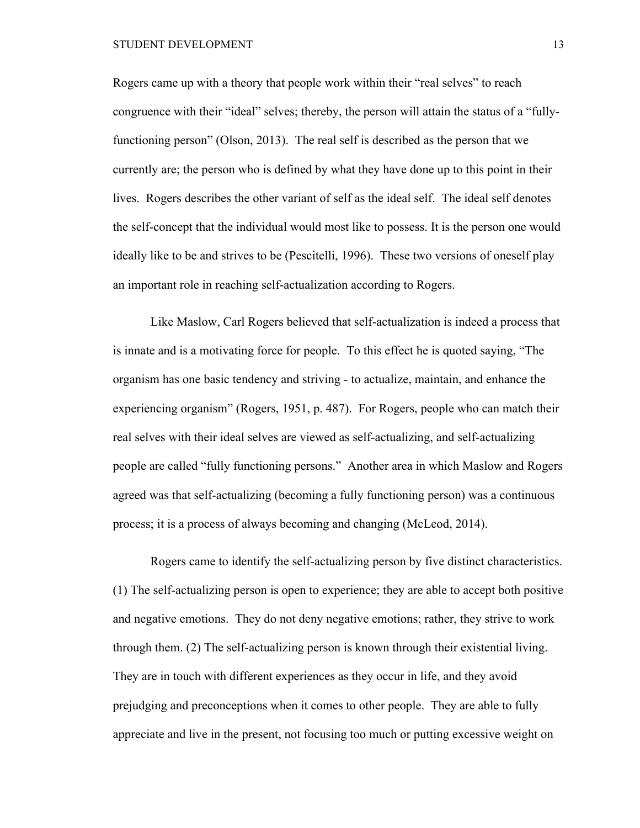#### STUDENT DEVELOPMENT 13

Rogers came up with a theory that people work within their "real selves" to reach congruence with their "ideal" selves; thereby, the person will attain the status of a "fullyfunctioning person" (Olson, 2013). The real self is described as the person that we currently are; the person who is defined by what they have done up to this point in their lives. Rogers describes the other variant of self as the ideal self. The ideal self denotes the self-concept that the individual would most like to possess. It is the person one would ideally like to be and strives to be (Pescitelli, 1996). These two versions of oneself play an important role in reaching self-actualization according to Rogers.

Like Maslow, Carl Rogers believed that self-actualization is indeed a process that is innate and is a motivating force for people. To this effect he is quoted saying, "The organism has one basic tendency and striving - to actualize, maintain, and enhance the experiencing organism" (Rogers, 1951, p. 487). For Rogers, people who can match their real selves with their ideal selves are viewed as self-actualizing, and self-actualizing people are called "fully functioning persons." Another area in which Maslow and Rogers agreed was that self-actualizing (becoming a fully functioning person) was a continuous process; it is a process of always becoming and changing (McLeod, 2014).

Rogers came to identify the self-actualizing person by five distinct characteristics. (1) The self-actualizing person is open to experience; they are able to accept both positive and negative emotions. They do not deny negative emotions; rather, they strive to work through them. (2) The self-actualizing person is known through their existential living. They are in touch with different experiences as they occur in life, and they avoid prejudging and preconceptions when it comes to other people. They are able to fully appreciate and live in the present, not focusing too much or putting excessive weight on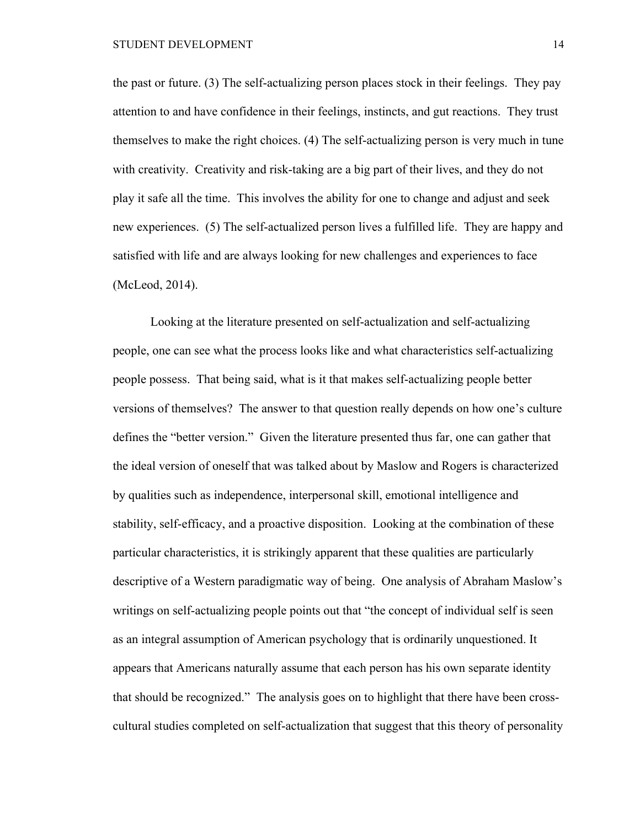the past or future. (3) The self-actualizing person places stock in their feelings. They pay attention to and have confidence in their feelings, instincts, and gut reactions. They trust themselves to make the right choices. (4) The self-actualizing person is very much in tune with creativity. Creativity and risk-taking are a big part of their lives, and they do not play it safe all the time. This involves the ability for one to change and adjust and seek new experiences. (5) The self-actualized person lives a fulfilled life. They are happy and satisfied with life and are always looking for new challenges and experiences to face (McLeod, 2014).

Looking at the literature presented on self-actualization and self-actualizing people, one can see what the process looks like and what characteristics self-actualizing people possess. That being said, what is it that makes self-actualizing people better versions of themselves? The answer to that question really depends on how one's culture defines the "better version." Given the literature presented thus far, one can gather that the ideal version of oneself that was talked about by Maslow and Rogers is characterized by qualities such as independence, interpersonal skill, emotional intelligence and stability, self-efficacy, and a proactive disposition. Looking at the combination of these particular characteristics, it is strikingly apparent that these qualities are particularly descriptive of a Western paradigmatic way of being. One analysis of Abraham Maslow's writings on self-actualizing people points out that "the concept of individual self is seen as an integral assumption of American psychology that is ordinarily unquestioned. It appears that Americans naturally assume that each person has his own separate identity that should be recognized." The analysis goes on to highlight that there have been crosscultural studies completed on self-actualization that suggest that this theory of personality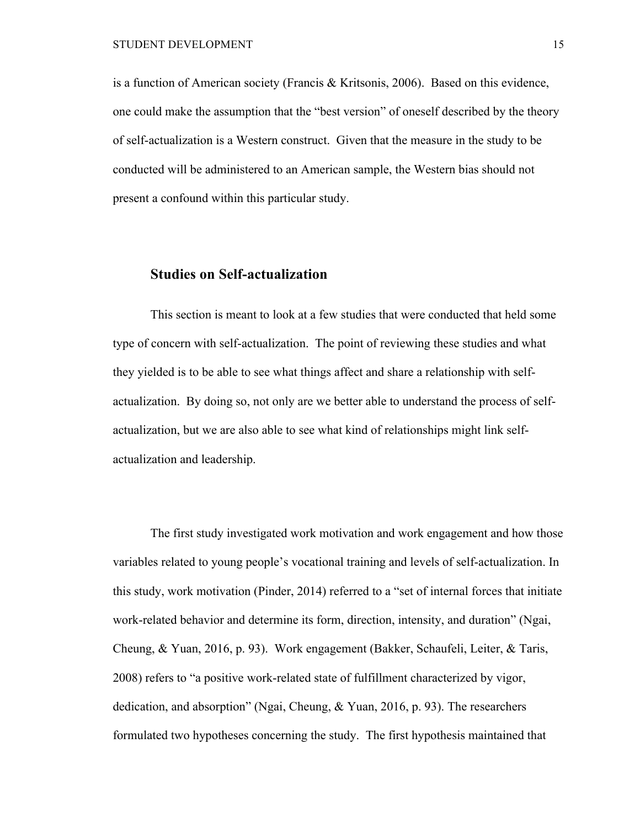is a function of American society (Francis & Kritsonis, 2006). Based on this evidence, one could make the assumption that the "best version" of oneself described by the theory of self-actualization is a Western construct. Given that the measure in the study to be conducted will be administered to an American sample, the Western bias should not present a confound within this particular study.

### **Studies on Self-actualization**

This section is meant to look at a few studies that were conducted that held some type of concern with self-actualization. The point of reviewing these studies and what they yielded is to be able to see what things affect and share a relationship with selfactualization. By doing so, not only are we better able to understand the process of selfactualization, but we are also able to see what kind of relationships might link selfactualization and leadership.

The first study investigated work motivation and work engagement and how those variables related to young people's vocational training and levels of self-actualization. In this study, work motivation (Pinder, 2014) referred to a "set of internal forces that initiate work-related behavior and determine its form, direction, intensity, and duration" (Ngai, Cheung, & Yuan, 2016, p. 93). Work engagement (Bakker, Schaufeli, Leiter, & Taris, 2008) refers to "a positive work-related state of fulfillment characterized by vigor, dedication, and absorption" (Ngai, Cheung, & Yuan, 2016, p. 93). The researchers formulated two hypotheses concerning the study. The first hypothesis maintained that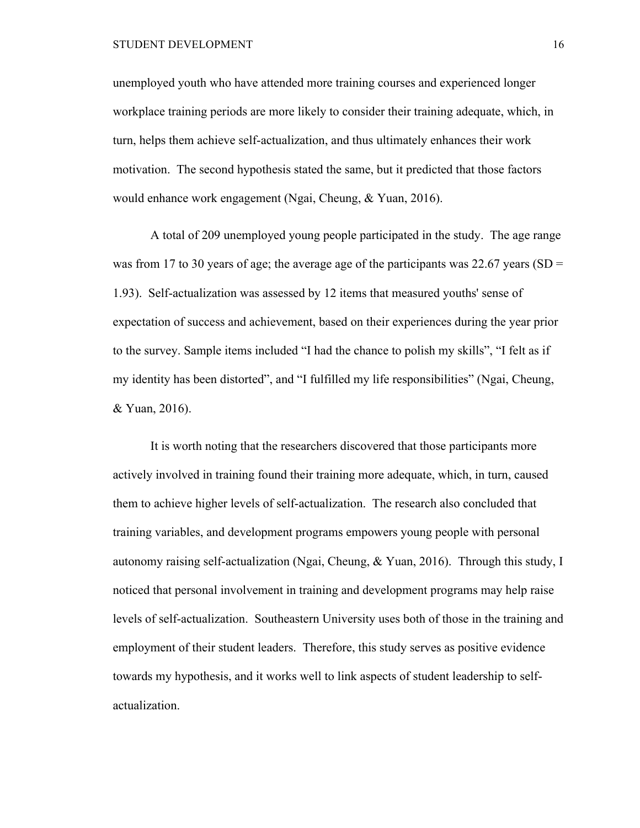unemployed youth who have attended more training courses and experienced longer workplace training periods are more likely to consider their training adequate, which, in turn, helps them achieve self-actualization, and thus ultimately enhances their work motivation. The second hypothesis stated the same, but it predicted that those factors would enhance work engagement (Ngai, Cheung, & Yuan, 2016).

A total of 209 unemployed young people participated in the study. The age range was from 17 to 30 years of age; the average age of the participants was 22.67 years (SD = 1.93). Self-actualization was assessed by 12 items that measured youths' sense of expectation of success and achievement, based on their experiences during the year prior to the survey. Sample items included "I had the chance to polish my skills", "I felt as if my identity has been distorted", and "I fulfilled my life responsibilities" (Ngai, Cheung, & Yuan, 2016).

It is worth noting that the researchers discovered that those participants more actively involved in training found their training more adequate, which, in turn, caused them to achieve higher levels of self-actualization. The research also concluded that training variables, and development programs empowers young people with personal autonomy raising self-actualization (Ngai, Cheung, & Yuan, 2016). Through this study, I noticed that personal involvement in training and development programs may help raise levels of self-actualization. Southeastern University uses both of those in the training and employment of their student leaders. Therefore, this study serves as positive evidence towards my hypothesis, and it works well to link aspects of student leadership to selfactualization.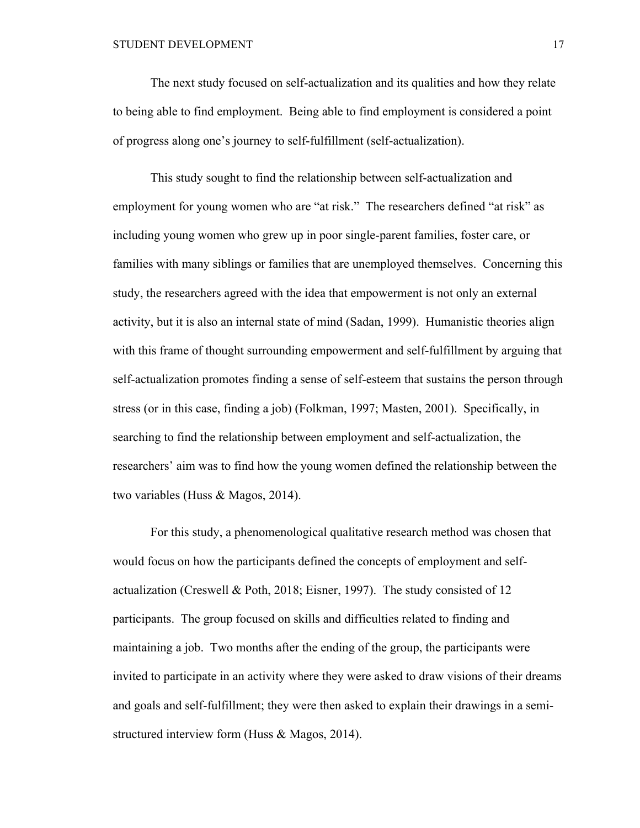The next study focused on self-actualization and its qualities and how they relate to being able to find employment. Being able to find employment is considered a point of progress along one's journey to self-fulfillment (self-actualization).

This study sought to find the relationship between self-actualization and employment for young women who are "at risk." The researchers defined "at risk" as including young women who grew up in poor single-parent families, foster care, or families with many siblings or families that are unemployed themselves. Concerning this study, the researchers agreed with the idea that empowerment is not only an external activity, but it is also an internal state of mind (Sadan, 1999). Humanistic theories align with this frame of thought surrounding empowerment and self-fulfillment by arguing that self-actualization promotes finding a sense of self-esteem that sustains the person through stress (or in this case, finding a job) (Folkman, 1997; Masten, 2001). Specifically, in searching to find the relationship between employment and self-actualization, the researchers' aim was to find how the young women defined the relationship between the two variables (Huss & Magos, 2014).

For this study, a phenomenological qualitative research method was chosen that would focus on how the participants defined the concepts of employment and selfactualization (Creswell & Poth, 2018; Eisner, 1997). The study consisted of 12 participants. The group focused on skills and difficulties related to finding and maintaining a job. Two months after the ending of the group, the participants were invited to participate in an activity where they were asked to draw visions of their dreams and goals and self-fulfillment; they were then asked to explain their drawings in a semistructured interview form (Huss & Magos, 2014).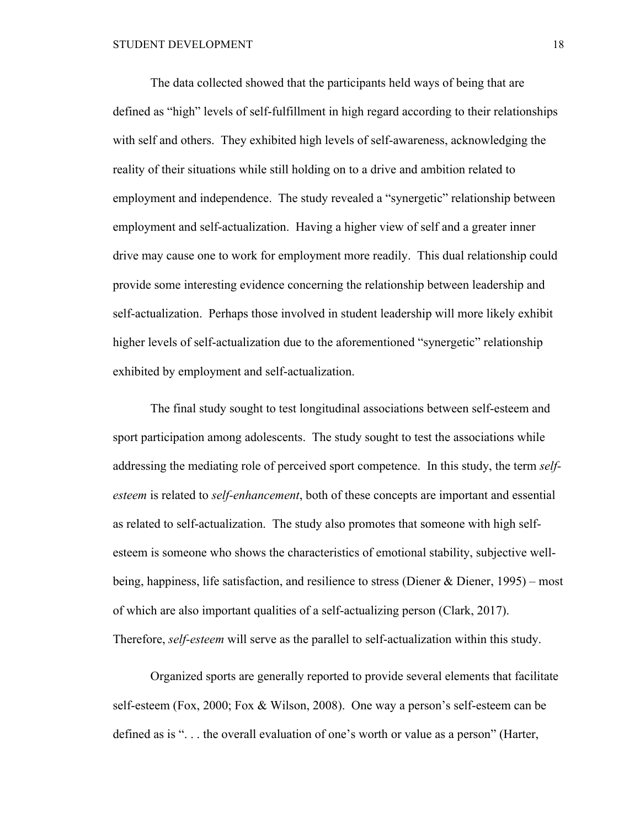The data collected showed that the participants held ways of being that are defined as "high" levels of self-fulfillment in high regard according to their relationships with self and others. They exhibited high levels of self-awareness, acknowledging the reality of their situations while still holding on to a drive and ambition related to employment and independence. The study revealed a "synergetic" relationship between employment and self-actualization. Having a higher view of self and a greater inner drive may cause one to work for employment more readily. This dual relationship could provide some interesting evidence concerning the relationship between leadership and self-actualization. Perhaps those involved in student leadership will more likely exhibit higher levels of self-actualization due to the aforementioned "synergetic" relationship exhibited by employment and self-actualization.

The final study sought to test longitudinal associations between self-esteem and sport participation among adolescents. The study sought to test the associations while addressing the mediating role of perceived sport competence. In this study, the term *selfesteem* is related to *self-enhancement*, both of these concepts are important and essential as related to self-actualization. The study also promotes that someone with high selfesteem is someone who shows the characteristics of emotional stability, subjective wellbeing, happiness, life satisfaction, and resilience to stress (Diener & Diener, 1995) – most of which are also important qualities of a self-actualizing person (Clark, 2017). Therefore, *self-esteem* will serve as the parallel to self-actualization within this study.

Organized sports are generally reported to provide several elements that facilitate self-esteem (Fox, 2000; Fox & Wilson, 2008). One way a person's self-esteem can be defined as is ". . . the overall evaluation of one's worth or value as a person" (Harter,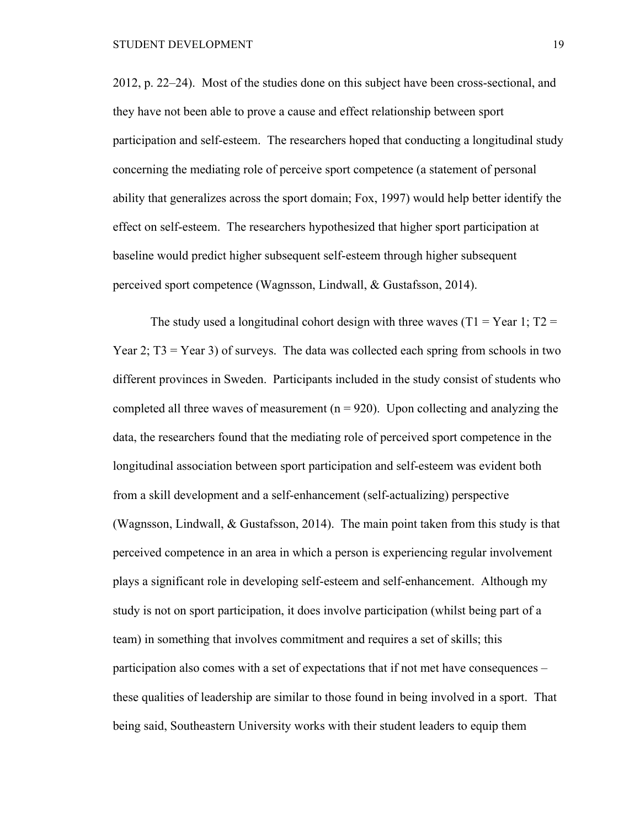2012, p. 22–24). Most of the studies done on this subject have been cross-sectional, and they have not been able to prove a cause and effect relationship between sport participation and self-esteem. The researchers hoped that conducting a longitudinal study concerning the mediating role of perceive sport competence (a statement of personal ability that generalizes across the sport domain; Fox, 1997) would help better identify the effect on self-esteem. The researchers hypothesized that higher sport participation at baseline would predict higher subsequent self-esteem through higher subsequent perceived sport competence (Wagnsson, Lindwall, & Gustafsson, 2014).

The study used a longitudinal cohort design with three waves ( $T1 = Year 1$ ;  $T2 =$ Year 2;  $T3 = Year 3$ ) of surveys. The data was collected each spring from schools in two different provinces in Sweden. Participants included in the study consist of students who completed all three waves of measurement  $(n = 920)$ . Upon collecting and analyzing the data, the researchers found that the mediating role of perceived sport competence in the longitudinal association between sport participation and self-esteem was evident both from a skill development and a self-enhancement (self-actualizing) perspective (Wagnsson, Lindwall,  $& Gustafsson, 2014$ ). The main point taken from this study is that perceived competence in an area in which a person is experiencing regular involvement plays a significant role in developing self-esteem and self-enhancement. Although my study is not on sport participation, it does involve participation (whilst being part of a team) in something that involves commitment and requires a set of skills; this participation also comes with a set of expectations that if not met have consequences – these qualities of leadership are similar to those found in being involved in a sport. That being said, Southeastern University works with their student leaders to equip them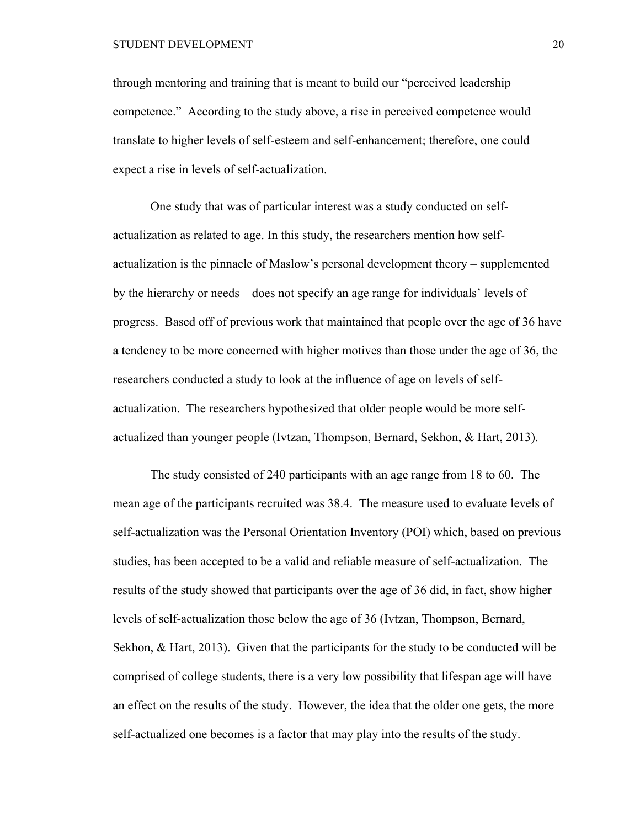through mentoring and training that is meant to build our "perceived leadership competence." According to the study above, a rise in perceived competence would translate to higher levels of self-esteem and self-enhancement; therefore, one could expect a rise in levels of self-actualization.

One study that was of particular interest was a study conducted on selfactualization as related to age. In this study, the researchers mention how selfactualization is the pinnacle of Maslow's personal development theory – supplemented by the hierarchy or needs – does not specify an age range for individuals' levels of progress. Based off of previous work that maintained that people over the age of 36 have a tendency to be more concerned with higher motives than those under the age of 36, the researchers conducted a study to look at the influence of age on levels of selfactualization. The researchers hypothesized that older people would be more selfactualized than younger people (Ivtzan, Thompson, Bernard, Sekhon, & Hart, 2013).

The study consisted of 240 participants with an age range from 18 to 60. The mean age of the participants recruited was 38.4. The measure used to evaluate levels of self-actualization was the Personal Orientation Inventory (POI) which, based on previous studies, has been accepted to be a valid and reliable measure of self-actualization. The results of the study showed that participants over the age of 36 did, in fact, show higher levels of self-actualization those below the age of 36 (Ivtzan, Thompson, Bernard, Sekhon, & Hart, 2013). Given that the participants for the study to be conducted will be comprised of college students, there is a very low possibility that lifespan age will have an effect on the results of the study. However, the idea that the older one gets, the more self-actualized one becomes is a factor that may play into the results of the study.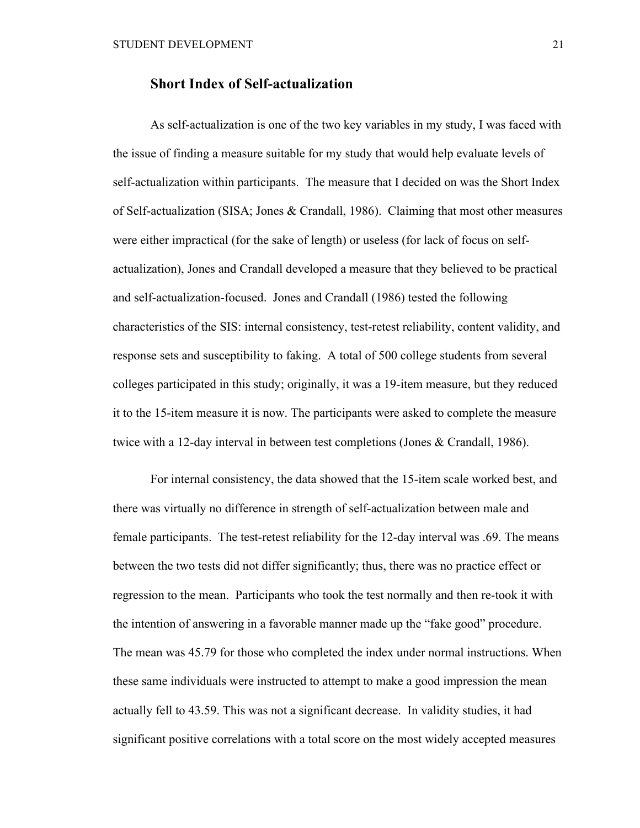### **Short Index of Self-actualization**

As self-actualization is one of the two key variables in my study, I was faced with the issue of finding a measure suitable for my study that would help evaluate levels of self-actualization within participants. The measure that I decided on was the Short Index of Self-actualization (SISA; Jones & Crandall, 1986). Claiming that most other measures were either impractical (for the sake of length) or useless (for lack of focus on selfactualization), Jones and Crandall developed a measure that they believed to be practical and self-actualization-focused. Jones and Crandall (1986) tested the following characteristics of the SIS: internal consistency, test-retest reliability, content validity, and response sets and susceptibility to faking. A total of 500 college students from several colleges participated in this study; originally, it was a 19-item measure, but they reduced it to the 15-item measure it is now. The participants were asked to complete the measure twice with a 12-day interval in between test completions (Jones & Crandall, 1986).

For internal consistency, the data showed that the 15-item scale worked best, and there was virtually no difference in strength of self-actualization between male and female participants. The test-retest reliability for the 12-day interval was .69. The means between the two tests did not differ significantly; thus, there was no practice effect or regression to the mean. Participants who took the test normally and then re-took it with the intention of answering in a favorable manner made up the "fake good" procedure. The mean was 45.79 for those who completed the index under normal instructions. When these same individuals were instructed to attempt to make a good impression the mean actually fell to 43.59. This was not a significant decrease. In validity studies, it had significant positive correlations with a total score on the most widely accepted measures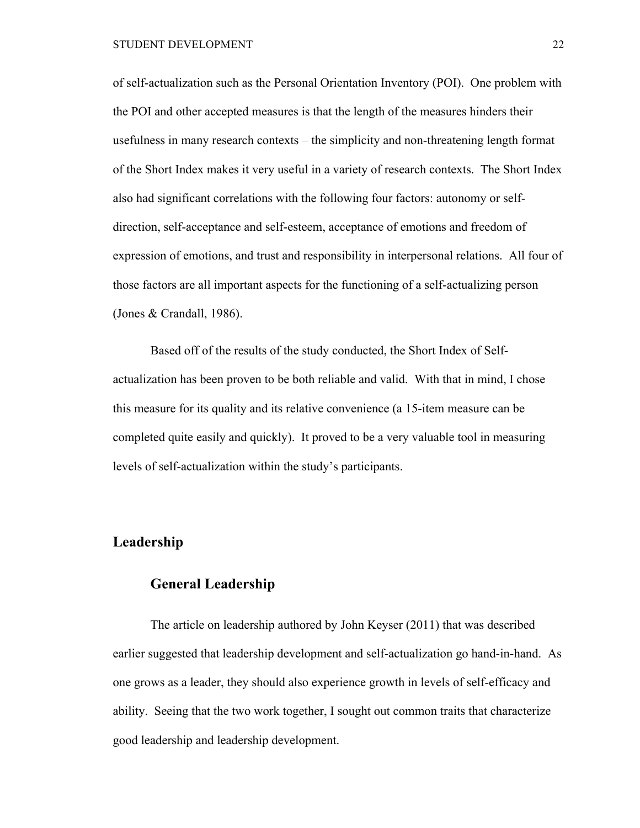of self-actualization such as the Personal Orientation Inventory (POI). One problem with the POI and other accepted measures is that the length of the measures hinders their usefulness in many research contexts – the simplicity and non-threatening length format of the Short Index makes it very useful in a variety of research contexts. The Short Index also had significant correlations with the following four factors: autonomy or selfdirection, self-acceptance and self-esteem, acceptance of emotions and freedom of expression of emotions, and trust and responsibility in interpersonal relations. All four of those factors are all important aspects for the functioning of a self-actualizing person (Jones & Crandall, 1986).

Based off of the results of the study conducted, the Short Index of Selfactualization has been proven to be both reliable and valid. With that in mind, I chose this measure for its quality and its relative convenience (a 15-item measure can be completed quite easily and quickly). It proved to be a very valuable tool in measuring levels of self-actualization within the study's participants.

### **Leadership**

### **General Leadership**

The article on leadership authored by John Keyser (2011) that was described earlier suggested that leadership development and self-actualization go hand-in-hand. As one grows as a leader, they should also experience growth in levels of self-efficacy and ability. Seeing that the two work together, I sought out common traits that characterize good leadership and leadership development.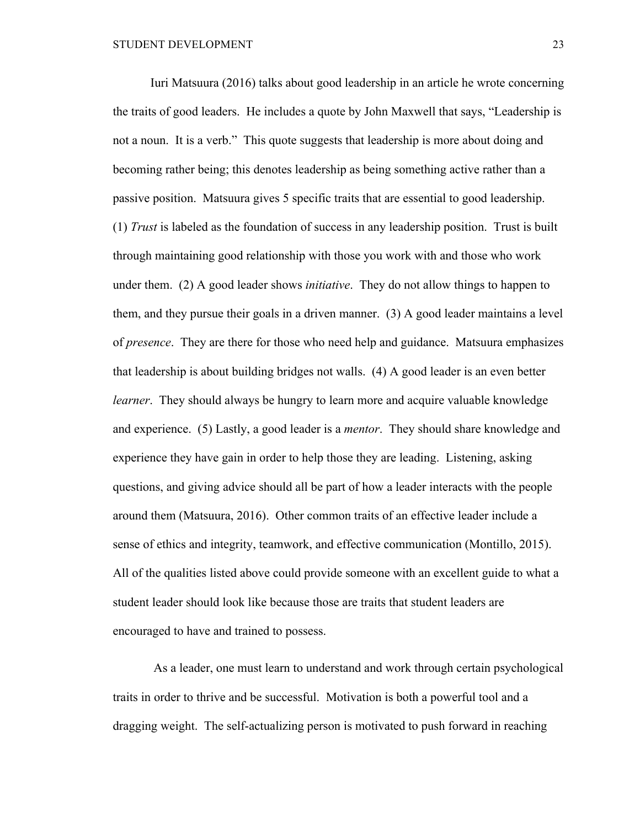Iuri Matsuura (2016) talks about good leadership in an article he wrote concerning the traits of good leaders. He includes a quote by John Maxwell that says, "Leadership is not a noun. It is a verb." This quote suggests that leadership is more about doing and becoming rather being; this denotes leadership as being something active rather than a passive position. Matsuura gives 5 specific traits that are essential to good leadership. (1) *Trust* is labeled as the foundation of success in any leadership position. Trust is built through maintaining good relationship with those you work with and those who work under them. (2) A good leader shows *initiative*. They do not allow things to happen to them, and they pursue their goals in a driven manner. (3) A good leader maintains a level of *presence*. They are there for those who need help and guidance. Matsuura emphasizes that leadership is about building bridges not walls. (4) A good leader is an even better *learner*. They should always be hungry to learn more and acquire valuable knowledge and experience. (5) Lastly, a good leader is a *mentor*. They should share knowledge and experience they have gain in order to help those they are leading. Listening, asking questions, and giving advice should all be part of how a leader interacts with the people around them (Matsuura, 2016). Other common traits of an effective leader include a sense of ethics and integrity, teamwork, and effective communication (Montillo, 2015). All of the qualities listed above could provide someone with an excellent guide to what a student leader should look like because those are traits that student leaders are encouraged to have and trained to possess.

As a leader, one must learn to understand and work through certain psychological traits in order to thrive and be successful. Motivation is both a powerful tool and a dragging weight. The self-actualizing person is motivated to push forward in reaching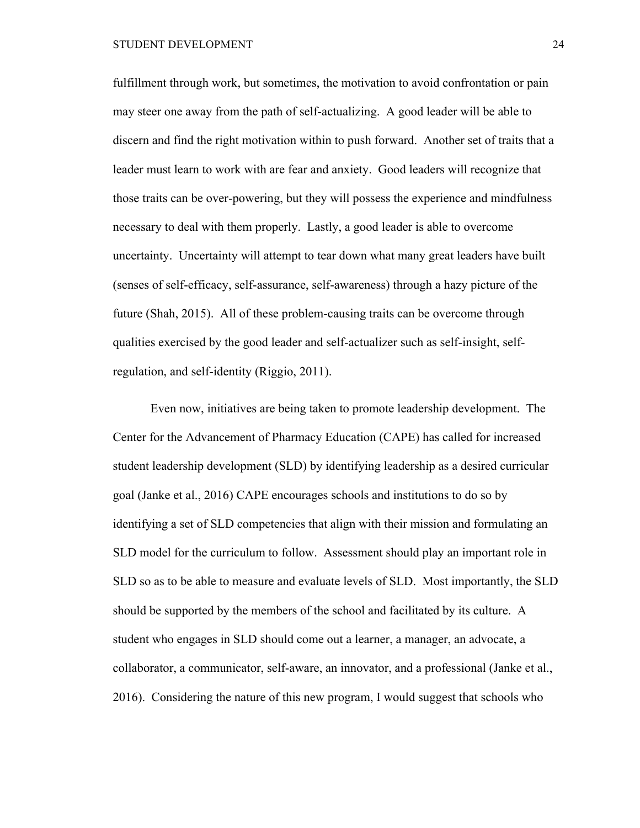fulfillment through work, but sometimes, the motivation to avoid confrontation or pain may steer one away from the path of self-actualizing. A good leader will be able to discern and find the right motivation within to push forward. Another set of traits that a leader must learn to work with are fear and anxiety. Good leaders will recognize that those traits can be over-powering, but they will possess the experience and mindfulness necessary to deal with them properly. Lastly, a good leader is able to overcome uncertainty. Uncertainty will attempt to tear down what many great leaders have built (senses of self-efficacy, self-assurance, self-awareness) through a hazy picture of the future (Shah, 2015). All of these problem-causing traits can be overcome through qualities exercised by the good leader and self-actualizer such as self-insight, selfregulation, and self-identity (Riggio, 2011).

Even now, initiatives are being taken to promote leadership development. The Center for the Advancement of Pharmacy Education (CAPE) has called for increased student leadership development (SLD) by identifying leadership as a desired curricular goal (Janke et al., 2016) CAPE encourages schools and institutions to do so by identifying a set of SLD competencies that align with their mission and formulating an SLD model for the curriculum to follow. Assessment should play an important role in SLD so as to be able to measure and evaluate levels of SLD. Most importantly, the SLD should be supported by the members of the school and facilitated by its culture. A student who engages in SLD should come out a learner, a manager, an advocate, a collaborator, a communicator, self-aware, an innovator, and a professional (Janke et al., 2016). Considering the nature of this new program, I would suggest that schools who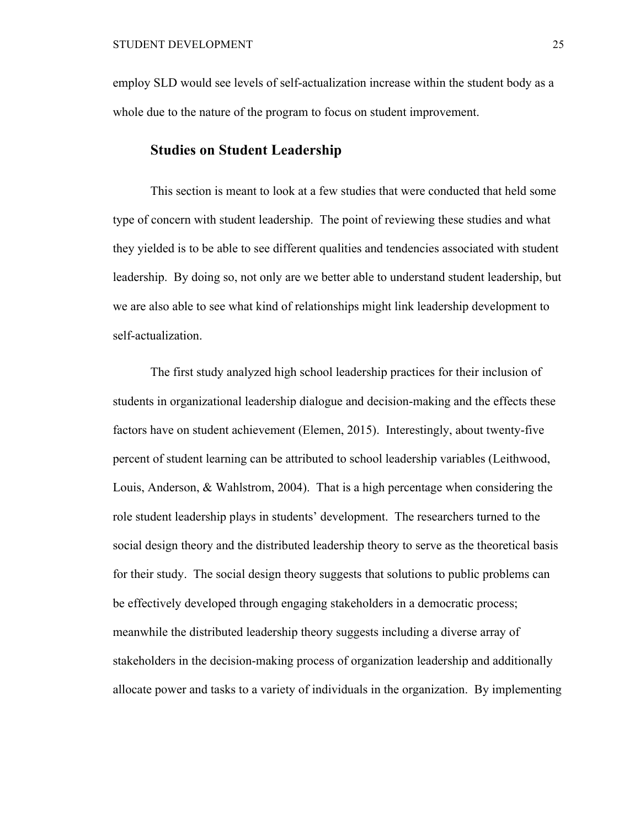employ SLD would see levels of self-actualization increase within the student body as a whole due to the nature of the program to focus on student improvement.

### **Studies on Student Leadership**

This section is meant to look at a few studies that were conducted that held some type of concern with student leadership. The point of reviewing these studies and what they yielded is to be able to see different qualities and tendencies associated with student leadership. By doing so, not only are we better able to understand student leadership, but we are also able to see what kind of relationships might link leadership development to self-actualization.

The first study analyzed high school leadership practices for their inclusion of students in organizational leadership dialogue and decision-making and the effects these factors have on student achievement (Elemen, 2015). Interestingly, about twenty-five percent of student learning can be attributed to school leadership variables (Leithwood, Louis, Anderson, & Wahlstrom, 2004). That is a high percentage when considering the role student leadership plays in students' development. The researchers turned to the social design theory and the distributed leadership theory to serve as the theoretical basis for their study. The social design theory suggests that solutions to public problems can be effectively developed through engaging stakeholders in a democratic process; meanwhile the distributed leadership theory suggests including a diverse array of stakeholders in the decision-making process of organization leadership and additionally allocate power and tasks to a variety of individuals in the organization. By implementing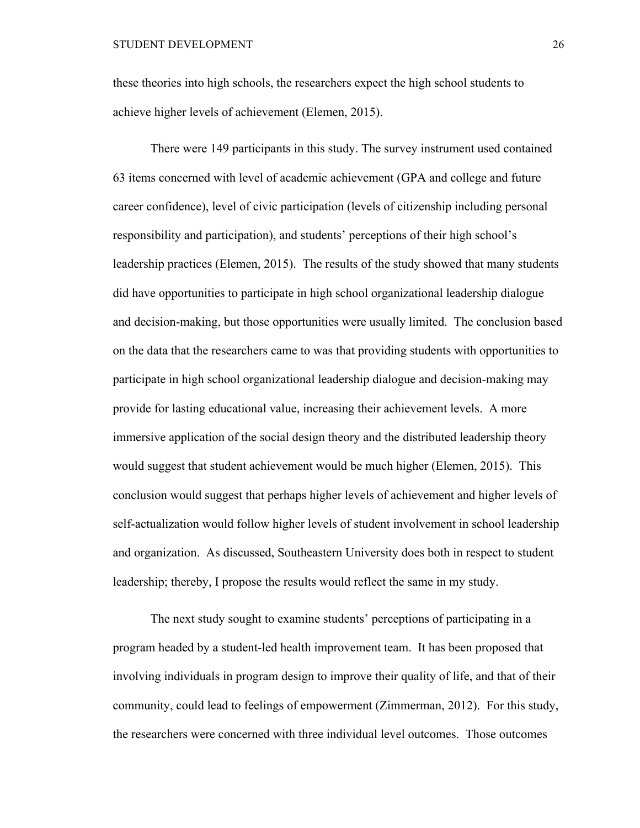these theories into high schools, the researchers expect the high school students to achieve higher levels of achievement (Elemen, 2015).

There were 149 participants in this study. The survey instrument used contained 63 items concerned with level of academic achievement (GPA and college and future career confidence), level of civic participation (levels of citizenship including personal responsibility and participation), and students' perceptions of their high school's leadership practices (Elemen, 2015). The results of the study showed that many students did have opportunities to participate in high school organizational leadership dialogue and decision-making, but those opportunities were usually limited. The conclusion based on the data that the researchers came to was that providing students with opportunities to participate in high school organizational leadership dialogue and decision-making may provide for lasting educational value, increasing their achievement levels. A more immersive application of the social design theory and the distributed leadership theory would suggest that student achievement would be much higher (Elemen, 2015). This conclusion would suggest that perhaps higher levels of achievement and higher levels of self-actualization would follow higher levels of student involvement in school leadership and organization. As discussed, Southeastern University does both in respect to student leadership; thereby, I propose the results would reflect the same in my study.

The next study sought to examine students' perceptions of participating in a program headed by a student-led health improvement team. It has been proposed that involving individuals in program design to improve their quality of life, and that of their community, could lead to feelings of empowerment (Zimmerman, 2012). For this study, the researchers were concerned with three individual level outcomes. Those outcomes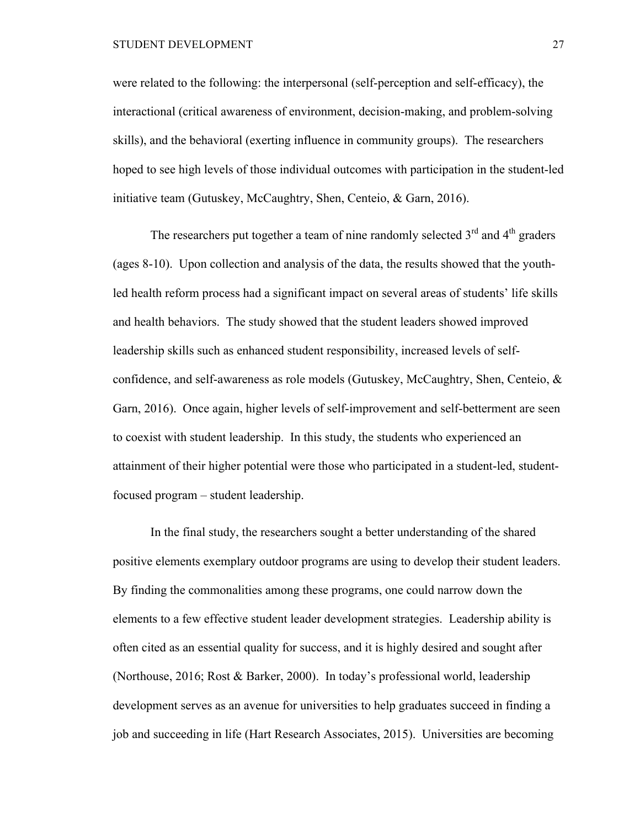#### STUDENT DEVELOPMENT 27

were related to the following: the interpersonal (self-perception and self-efficacy), the interactional (critical awareness of environment, decision-making, and problem-solving skills), and the behavioral (exerting influence in community groups). The researchers hoped to see high levels of those individual outcomes with participation in the student-led initiative team (Gutuskey, McCaughtry, Shen, Centeio, & Garn, 2016).

The researchers put together a team of nine randomly selected  $3<sup>rd</sup>$  and  $4<sup>th</sup>$  graders (ages 8-10). Upon collection and analysis of the data, the results showed that the youthled health reform process had a significant impact on several areas of students' life skills and health behaviors. The study showed that the student leaders showed improved leadership skills such as enhanced student responsibility, increased levels of selfconfidence, and self-awareness as role models (Gutuskey, McCaughtry, Shen, Centeio, & Garn, 2016). Once again, higher levels of self-improvement and self-betterment are seen to coexist with student leadership. In this study, the students who experienced an attainment of their higher potential were those who participated in a student-led, studentfocused program – student leadership.

In the final study, the researchers sought a better understanding of the shared positive elements exemplary outdoor programs are using to develop their student leaders. By finding the commonalities among these programs, one could narrow down the elements to a few effective student leader development strategies. Leadership ability is often cited as an essential quality for success, and it is highly desired and sought after (Northouse, 2016; Rost & Barker, 2000). In today's professional world, leadership development serves as an avenue for universities to help graduates succeed in finding a job and succeeding in life (Hart Research Associates, 2015). Universities are becoming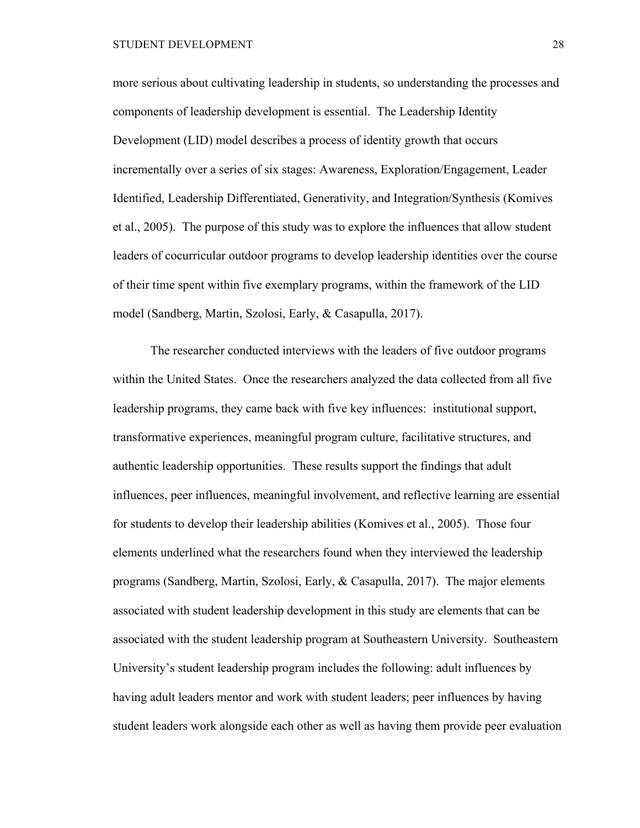more serious about cultivating leadership in students, so understanding the processes and components of leadership development is essential. The Leadership Identity Development (LID) model describes a process of identity growth that occurs incrementally over a series of six stages: Awareness, Exploration/Engagement, Leader Identified, Leadership Differentiated, Generativity, and Integration/Synthesis (Komives et al., 2005). The purpose of this study was to explore the influences that allow student leaders of cocurricular outdoor programs to develop leadership identities over the course of their time spent within five exemplary programs, within the framework of the LID model (Sandberg, Martin, Szolosi, Early, & Casapulla, 2017).

The researcher conducted interviews with the leaders of five outdoor programs within the United States. Once the researchers analyzed the data collected from all five leadership programs, they came back with five key influences: institutional support, transformative experiences, meaningful program culture, facilitative structures, and authentic leadership opportunities. These results support the findings that adult influences, peer influences, meaningful involvement, and reflective learning are essential for students to develop their leadership abilities (Komives et al., 2005). Those four elements underlined what the researchers found when they interviewed the leadership programs (Sandberg, Martin, Szolosi, Early, & Casapulla, 2017). The major elements associated with student leadership development in this study are elements that can be associated with the student leadership program at Southeastern University. Southeastern University's student leadership program includes the following: adult influences by having adult leaders mentor and work with student leaders; peer influences by having student leaders work alongside each other as well as having them provide peer evaluation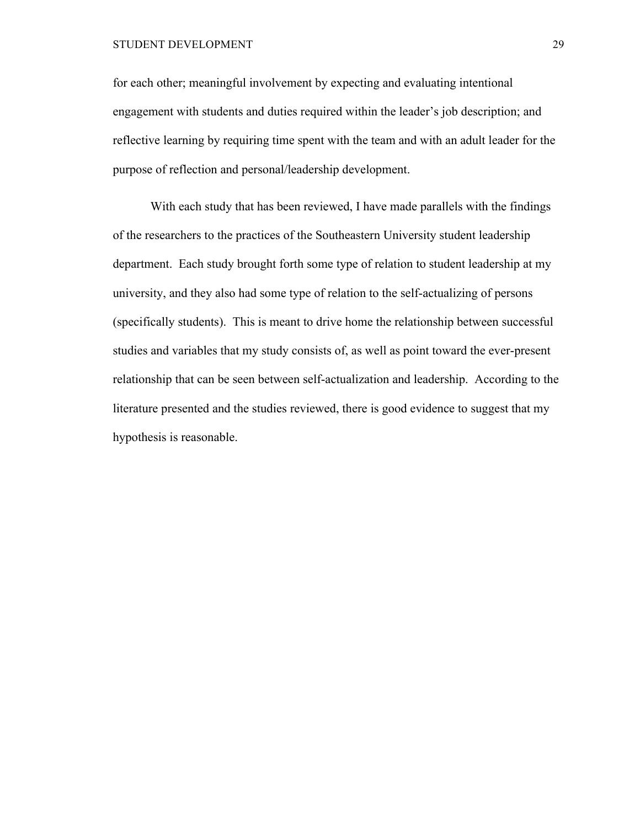### STUDENT DEVELOPMENT 29

for each other; meaningful involvement by expecting and evaluating intentional engagement with students and duties required within the leader's job description; and reflective learning by requiring time spent with the team and with an adult leader for the purpose of reflection and personal/leadership development.

With each study that has been reviewed, I have made parallels with the findings of the researchers to the practices of the Southeastern University student leadership department. Each study brought forth some type of relation to student leadership at my university, and they also had some type of relation to the self-actualizing of persons (specifically students). This is meant to drive home the relationship between successful studies and variables that my study consists of, as well as point toward the ever-present relationship that can be seen between self-actualization and leadership. According to the literature presented and the studies reviewed, there is good evidence to suggest that my hypothesis is reasonable.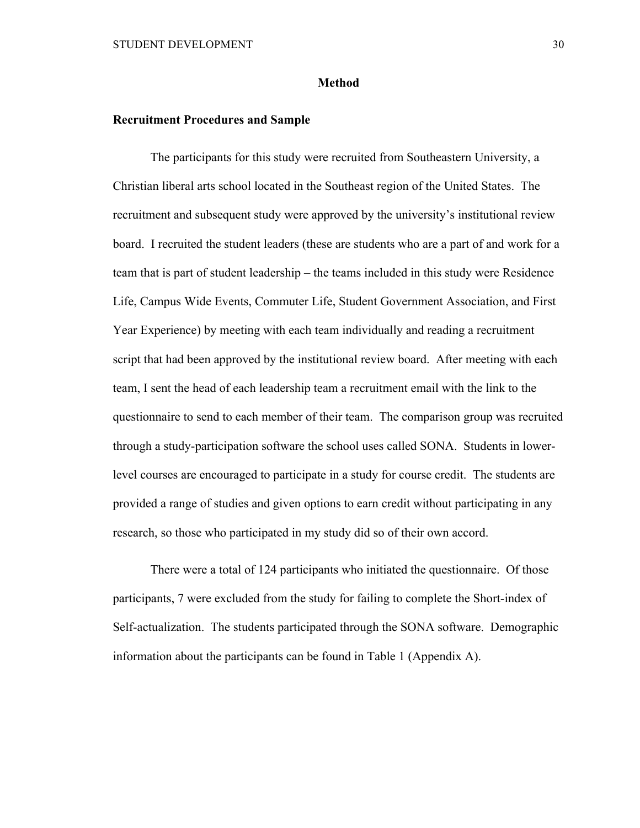#### **Method**

### **Recruitment Procedures and Sample**

The participants for this study were recruited from Southeastern University, a Christian liberal arts school located in the Southeast region of the United States. The recruitment and subsequent study were approved by the university's institutional review board. I recruited the student leaders (these are students who are a part of and work for a team that is part of student leadership – the teams included in this study were Residence Life, Campus Wide Events, Commuter Life, Student Government Association, and First Year Experience) by meeting with each team individually and reading a recruitment script that had been approved by the institutional review board. After meeting with each team, I sent the head of each leadership team a recruitment email with the link to the questionnaire to send to each member of their team. The comparison group was recruited through a study-participation software the school uses called SONA. Students in lowerlevel courses are encouraged to participate in a study for course credit. The students are provided a range of studies and given options to earn credit without participating in any research, so those who participated in my study did so of their own accord.

There were a total of 124 participants who initiated the questionnaire. Of those participants, 7 were excluded from the study for failing to complete the Short-index of Self-actualization. The students participated through the SONA software. Demographic information about the participants can be found in Table 1 (Appendix A).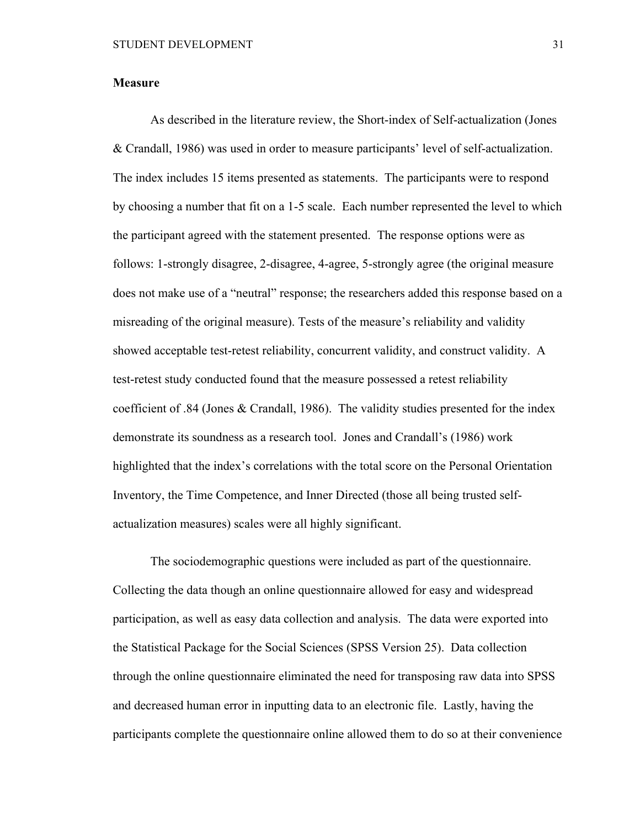### **Measure**

As described in the literature review, the Short-index of Self-actualization (Jones & Crandall, 1986) was used in order to measure participants' level of self-actualization. The index includes 15 items presented as statements. The participants were to respond by choosing a number that fit on a 1-5 scale. Each number represented the level to which the participant agreed with the statement presented. The response options were as follows: 1-strongly disagree, 2-disagree, 4-agree, 5-strongly agree (the original measure does not make use of a "neutral" response; the researchers added this response based on a misreading of the original measure). Tests of the measure's reliability and validity showed acceptable test-retest reliability, concurrent validity, and construct validity. A test-retest study conducted found that the measure possessed a retest reliability coefficient of .84 (Jones & Crandall, 1986). The validity studies presented for the index demonstrate its soundness as a research tool. Jones and Crandall's (1986) work highlighted that the index's correlations with the total score on the Personal Orientation Inventory, the Time Competence, and Inner Directed (those all being trusted selfactualization measures) scales were all highly significant.

The sociodemographic questions were included as part of the questionnaire. Collecting the data though an online questionnaire allowed for easy and widespread participation, as well as easy data collection and analysis. The data were exported into the Statistical Package for the Social Sciences (SPSS Version 25). Data collection through the online questionnaire eliminated the need for transposing raw data into SPSS and decreased human error in inputting data to an electronic file. Lastly, having the participants complete the questionnaire online allowed them to do so at their convenience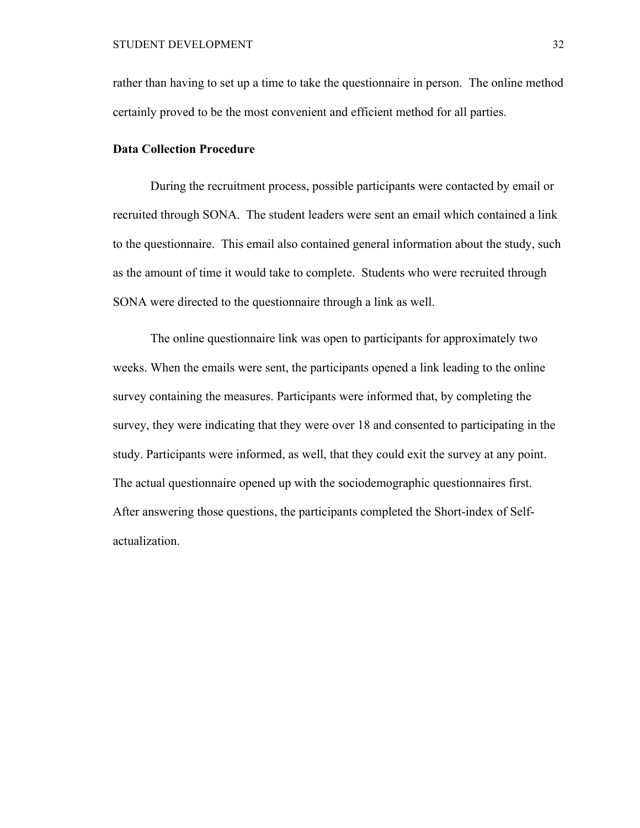rather than having to set up a time to take the questionnaire in person. The online method certainly proved to be the most convenient and efficient method for all parties.

### **Data Collection Procedure**

During the recruitment process, possible participants were contacted by email or recruited through SONA. The student leaders were sent an email which contained a link to the questionnaire. This email also contained general information about the study, such as the amount of time it would take to complete. Students who were recruited through SONA were directed to the questionnaire through a link as well.

The online questionnaire link was open to participants for approximately two weeks. When the emails were sent, the participants opened a link leading to the online survey containing the measures. Participants were informed that, by completing the survey, they were indicating that they were over 18 and consented to participating in the study. Participants were informed, as well, that they could exit the survey at any point. The actual questionnaire opened up with the sociodemographic questionnaires first. After answering those questions, the participants completed the Short-index of Selfactualization.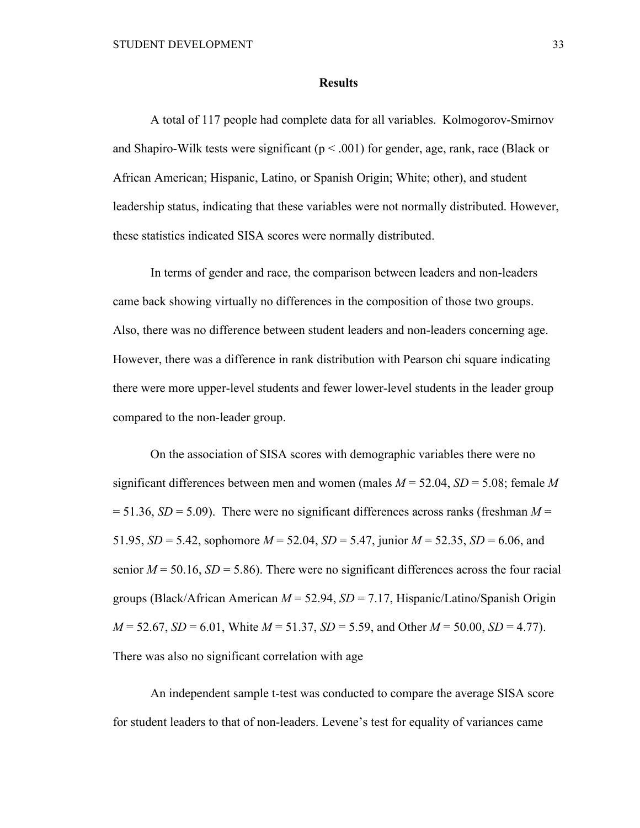#### **Results**

A total of 117 people had complete data for all variables. Kolmogorov-Smirnov and Shapiro-Wilk tests were significant ( $p < .001$ ) for gender, age, rank, race (Black or African American; Hispanic, Latino, or Spanish Origin; White; other), and student leadership status, indicating that these variables were not normally distributed. However, these statistics indicated SISA scores were normally distributed.

In terms of gender and race, the comparison between leaders and non-leaders came back showing virtually no differences in the composition of those two groups. Also, there was no difference between student leaders and non-leaders concerning age. However, there was a difference in rank distribution with Pearson chi square indicating there were more upper-level students and fewer lower-level students in the leader group compared to the non-leader group.

On the association of SISA scores with demographic variables there were no significant differences between men and women (males  $M = 52.04$ ,  $SD = 5.08$ ; female M  $= 51.36$ , *SD* = 5.09). There were no significant differences across ranks (freshman *M* = 51.95, *SD* = 5.42, sophomore *M* = 52.04, *SD* = 5.47, junior *M* = 52.35, *SD* = 6.06, and senior  $M = 50.16$ ,  $SD = 5.86$ ). There were no significant differences across the four racial groups (Black/African American *M* = 52.94, *SD* = 7.17, Hispanic/Latino/Spanish Origin  $M = 52.67$ ,  $SD = 6.01$ , White  $M = 51.37$ ,  $SD = 5.59$ , and Other  $M = 50.00$ ,  $SD = 4.77$ ). There was also no significant correlation with age

An independent sample t-test was conducted to compare the average SISA score for student leaders to that of non-leaders. Levene's test for equality of variances came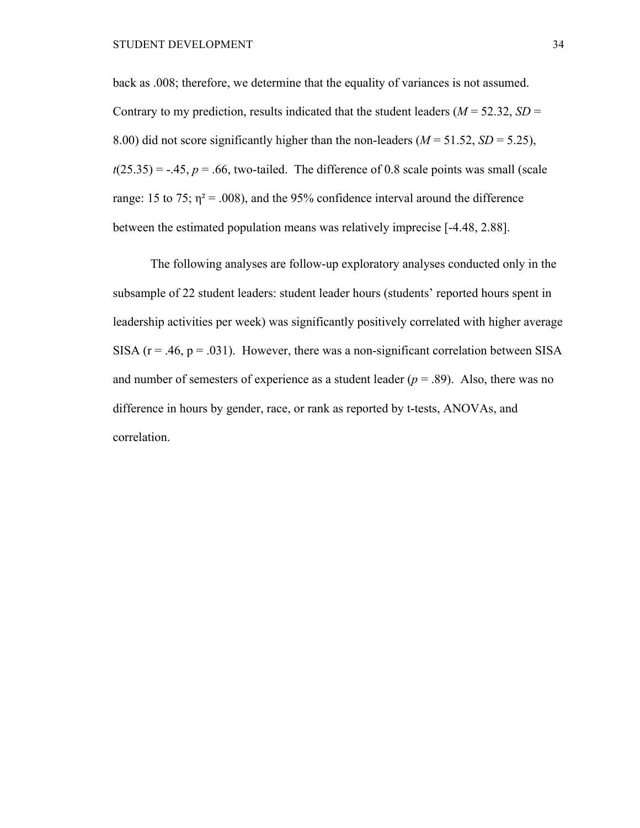back as .008; therefore, we determine that the equality of variances is not assumed. Contrary to my prediction, results indicated that the student leaders ( $M = 52.32$ ,  $SD =$ 8.00) did not score significantly higher than the non-leaders  $(M = 51.52, SD = 5.25)$ ,  $t(25.35) = -.45$ ,  $p = .66$ , two-tailed. The difference of 0.8 scale points was small (scale range: 15 to 75;  $\eta^2 = .008$ ), and the 95% confidence interval around the difference between the estimated population means was relatively imprecise [-4.48, 2.88].

The following analyses are follow-up exploratory analyses conducted only in the subsample of 22 student leaders: student leader hours (students' reported hours spent in leadership activities per week) was significantly positively correlated with higher average SISA ( $r = .46$ ,  $p = .031$ ). However, there was a non-significant correlation between SISA and number of semesters of experience as a student leader  $(p = .89)$ . Also, there was no difference in hours by gender, race, or rank as reported by t-tests, ANOVAs, and correlation.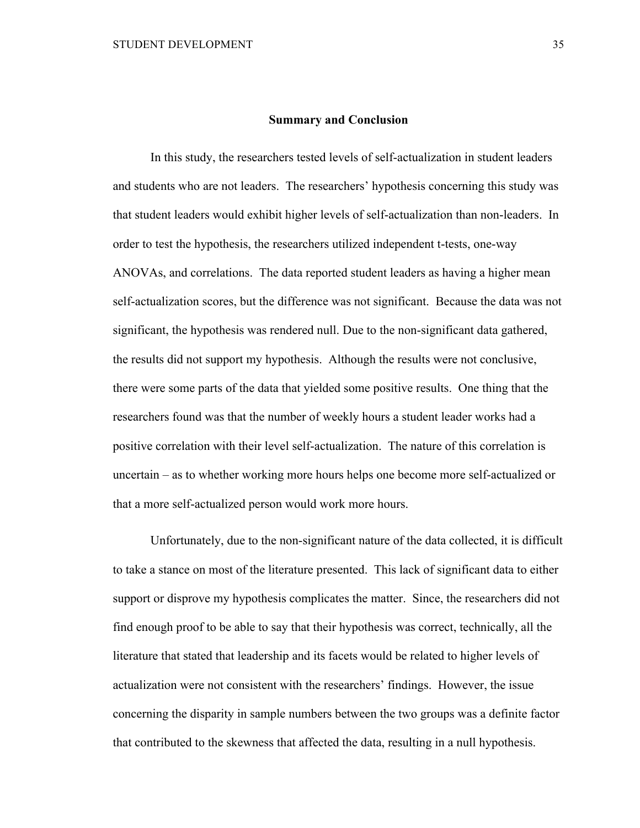#### **Summary and Conclusion**

In this study, the researchers tested levels of self-actualization in student leaders and students who are not leaders. The researchers' hypothesis concerning this study was that student leaders would exhibit higher levels of self-actualization than non-leaders. In order to test the hypothesis, the researchers utilized independent t-tests, one-way ANOVAs, and correlations. The data reported student leaders as having a higher mean self-actualization scores, but the difference was not significant. Because the data was not significant, the hypothesis was rendered null. Due to the non-significant data gathered, the results did not support my hypothesis. Although the results were not conclusive, there were some parts of the data that yielded some positive results. One thing that the researchers found was that the number of weekly hours a student leader works had a positive correlation with their level self-actualization. The nature of this correlation is uncertain – as to whether working more hours helps one become more self-actualized or that a more self-actualized person would work more hours.

Unfortunately, due to the non-significant nature of the data collected, it is difficult to take a stance on most of the literature presented. This lack of significant data to either support or disprove my hypothesis complicates the matter. Since, the researchers did not find enough proof to be able to say that their hypothesis was correct, technically, all the literature that stated that leadership and its facets would be related to higher levels of actualization were not consistent with the researchers' findings. However, the issue concerning the disparity in sample numbers between the two groups was a definite factor that contributed to the skewness that affected the data, resulting in a null hypothesis.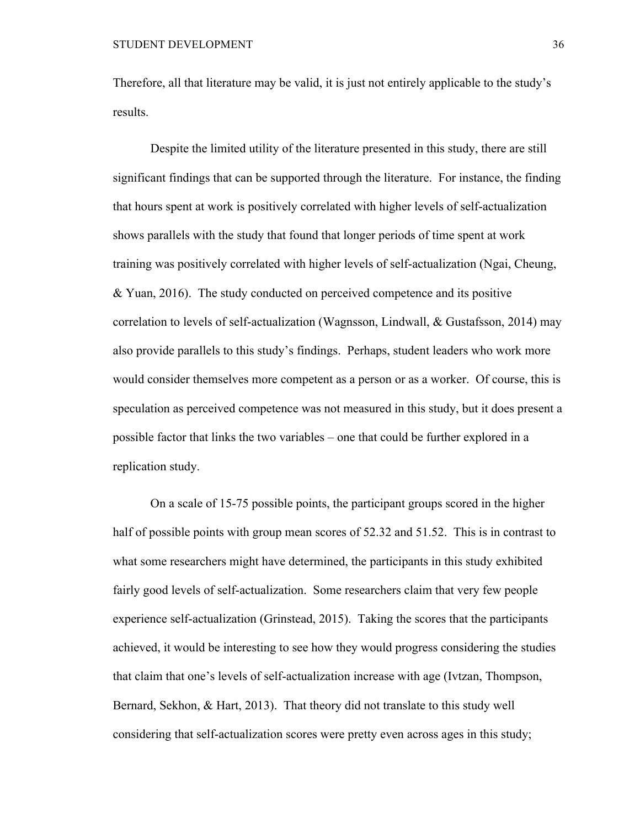Therefore, all that literature may be valid, it is just not entirely applicable to the study's results.

Despite the limited utility of the literature presented in this study, there are still significant findings that can be supported through the literature. For instance, the finding that hours spent at work is positively correlated with higher levels of self-actualization shows parallels with the study that found that longer periods of time spent at work training was positively correlated with higher levels of self-actualization (Ngai, Cheung, & Yuan, 2016). The study conducted on perceived competence and its positive correlation to levels of self-actualization (Wagnsson, Lindwall, & Gustafsson, 2014) may also provide parallels to this study's findings. Perhaps, student leaders who work more would consider themselves more competent as a person or as a worker. Of course, this is speculation as perceived competence was not measured in this study, but it does present a possible factor that links the two variables – one that could be further explored in a replication study.

On a scale of 15-75 possible points, the participant groups scored in the higher half of possible points with group mean scores of 52.32 and 51.52. This is in contrast to what some researchers might have determined, the participants in this study exhibited fairly good levels of self-actualization. Some researchers claim that very few people experience self-actualization (Grinstead, 2015). Taking the scores that the participants achieved, it would be interesting to see how they would progress considering the studies that claim that one's levels of self-actualization increase with age (Ivtzan, Thompson, Bernard, Sekhon, & Hart, 2013). That theory did not translate to this study well considering that self-actualization scores were pretty even across ages in this study;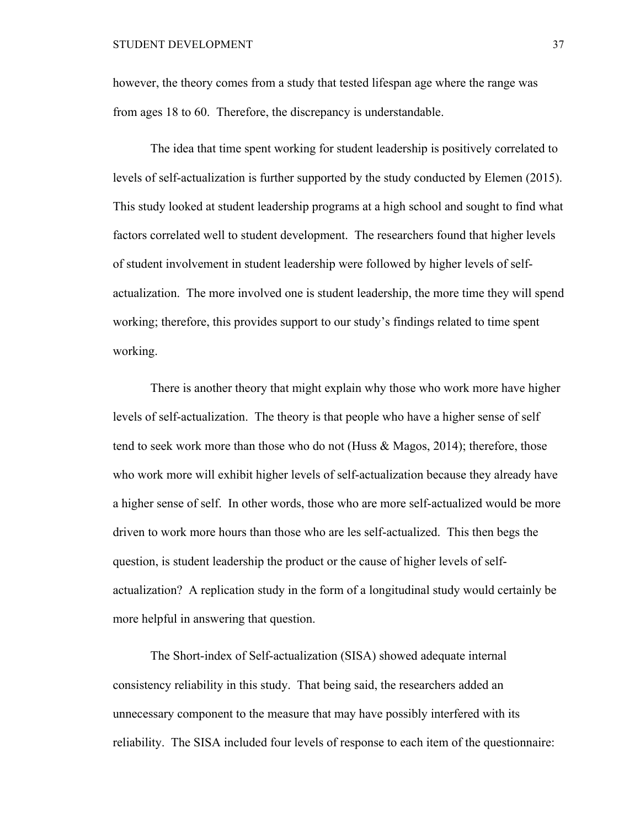however, the theory comes from a study that tested lifespan age where the range was from ages 18 to 60. Therefore, the discrepancy is understandable.

The idea that time spent working for student leadership is positively correlated to levels of self-actualization is further supported by the study conducted by Elemen (2015). This study looked at student leadership programs at a high school and sought to find what factors correlated well to student development. The researchers found that higher levels of student involvement in student leadership were followed by higher levels of selfactualization. The more involved one is student leadership, the more time they will spend working; therefore, this provides support to our study's findings related to time spent working.

There is another theory that might explain why those who work more have higher levels of self-actualization. The theory is that people who have a higher sense of self tend to seek work more than those who do not (Huss & Magos, 2014); therefore, those who work more will exhibit higher levels of self-actualization because they already have a higher sense of self. In other words, those who are more self-actualized would be more driven to work more hours than those who are les self-actualized. This then begs the question, is student leadership the product or the cause of higher levels of selfactualization? A replication study in the form of a longitudinal study would certainly be more helpful in answering that question.

The Short-index of Self-actualization (SISA) showed adequate internal consistency reliability in this study. That being said, the researchers added an unnecessary component to the measure that may have possibly interfered with its reliability. The SISA included four levels of response to each item of the questionnaire: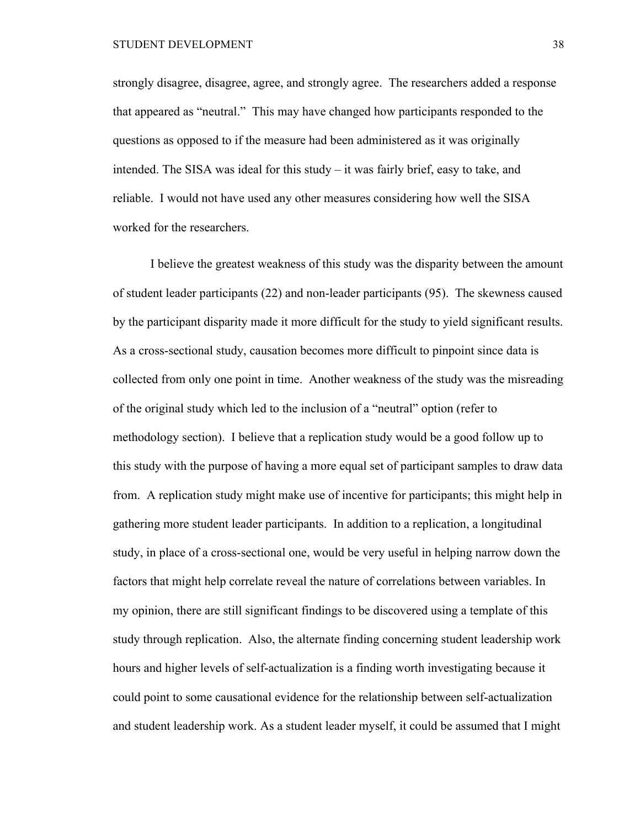strongly disagree, disagree, agree, and strongly agree. The researchers added a response that appeared as "neutral." This may have changed how participants responded to the questions as opposed to if the measure had been administered as it was originally intended. The SISA was ideal for this study – it was fairly brief, easy to take, and reliable. I would not have used any other measures considering how well the SISA worked for the researchers.

I believe the greatest weakness of this study was the disparity between the amount of student leader participants (22) and non-leader participants (95). The skewness caused by the participant disparity made it more difficult for the study to yield significant results. As a cross-sectional study, causation becomes more difficult to pinpoint since data is collected from only one point in time. Another weakness of the study was the misreading of the original study which led to the inclusion of a "neutral" option (refer to methodology section). I believe that a replication study would be a good follow up to this study with the purpose of having a more equal set of participant samples to draw data from. A replication study might make use of incentive for participants; this might help in gathering more student leader participants. In addition to a replication, a longitudinal study, in place of a cross-sectional one, would be very useful in helping narrow down the factors that might help correlate reveal the nature of correlations between variables. In my opinion, there are still significant findings to be discovered using a template of this study through replication. Also, the alternate finding concerning student leadership work hours and higher levels of self-actualization is a finding worth investigating because it could point to some causational evidence for the relationship between self-actualization and student leadership work. As a student leader myself, it could be assumed that I might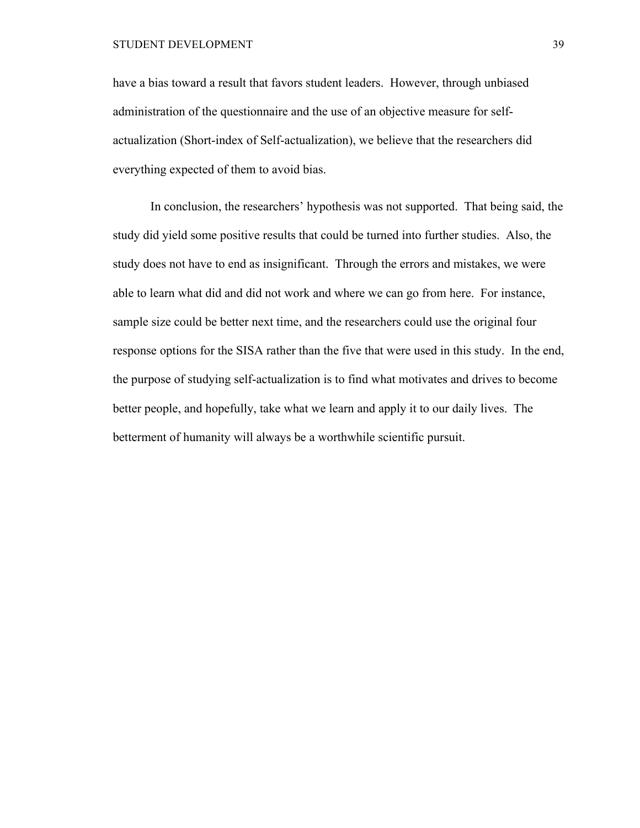STUDENT DEVELOPMENT 39

have a bias toward a result that favors student leaders. However, through unbiased administration of the questionnaire and the use of an objective measure for selfactualization (Short-index of Self-actualization), we believe that the researchers did everything expected of them to avoid bias.

In conclusion, the researchers' hypothesis was not supported. That being said, the study did yield some positive results that could be turned into further studies. Also, the study does not have to end as insignificant. Through the errors and mistakes, we were able to learn what did and did not work and where we can go from here. For instance, sample size could be better next time, and the researchers could use the original four response options for the SISA rather than the five that were used in this study. In the end, the purpose of studying self-actualization is to find what motivates and drives to become better people, and hopefully, take what we learn and apply it to our daily lives. The betterment of humanity will always be a worthwhile scientific pursuit.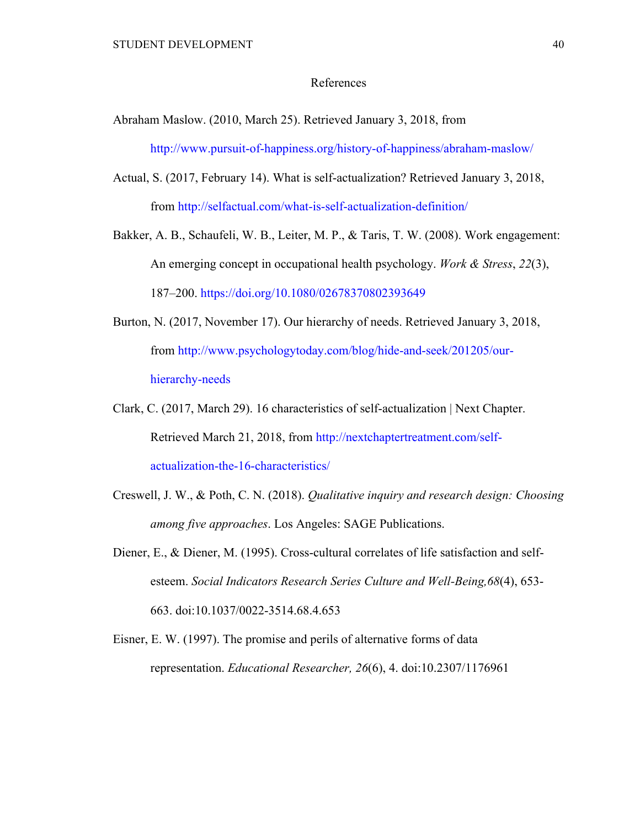### References

- Abraham Maslow. (2010, March 25). Retrieved January 3, 2018, from http://www.pursuit-of-happiness.org/history-of-happiness/abraham-maslow/
- Actual, S. (2017, February 14). What is self-actualization? Retrieved January 3, 2018, from http://selfactual.com/what-is-self-actualization-definition/
- Bakker, A. B., Schaufeli, W. B., Leiter, M. P., & Taris, T. W. (2008). Work engagement: An emerging concept in occupational health psychology. *Work & Stress*, *22*(3), 187–200. https://doi.org/10.1080/02678370802393649
- Burton, N. (2017, November 17). Our hierarchy of needs. Retrieved January 3, 2018, from http://www.psychologytoday.com/blog/hide-and-seek/201205/ourhierarchy-needs
- Clark, C. (2017, March 29). 16 characteristics of self-actualization | Next Chapter. Retrieved March 21, 2018, from http://nextchaptertreatment.com/selfactualization-the-16-characteristics/
- Creswell, J. W., & Poth, C. N. (2018). *Qualitative inquiry and research design: Choosing among five approaches*. Los Angeles: SAGE Publications.
- Diener, E., & Diener, M. (1995). Cross-cultural correlates of life satisfaction and selfesteem. *Social Indicators Research Series Culture and Well-Being,68*(4), 653- 663. doi:10.1037/0022-3514.68.4.653
- Eisner, E. W. (1997). The promise and perils of alternative forms of data representation. *Educational Researcher, 26*(6), 4. doi:10.2307/1176961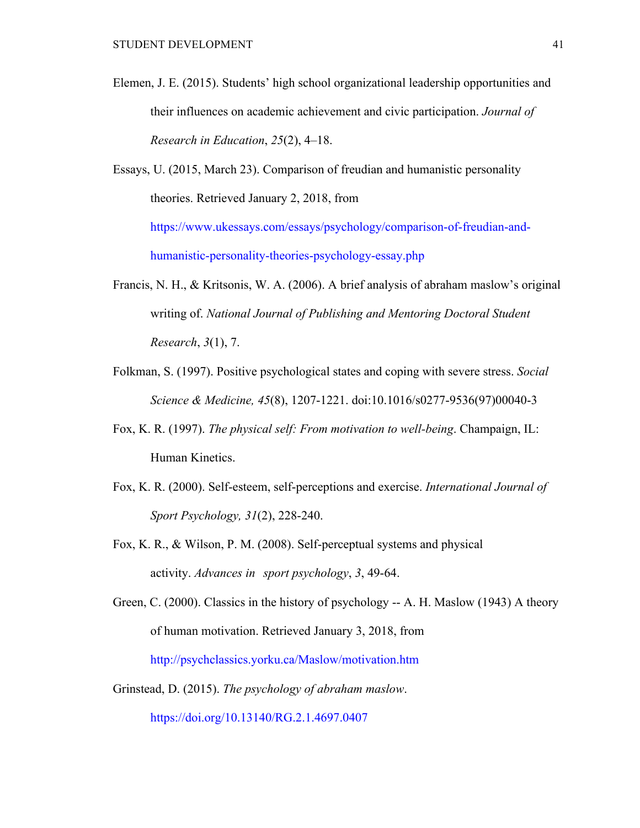- Elemen, J. E. (2015). Students' high school organizational leadership opportunities and their influences on academic achievement and civic participation. *Journal of Research in Education*, *25*(2), 4–18.
- Essays, U. (2015, March 23). Comparison of freudian and humanistic personality theories. Retrieved January 2, 2018, from https://www.ukessays.com/essays/psychology/comparison-of-freudian-andhumanistic-personality-theories-psychology-essay.php
- Francis, N. H., & Kritsonis, W. A. (2006). A brief analysis of abraham maslow's original writing of. *National Journal of Publishing and Mentoring Doctoral Student Research*, *3*(1), 7.
- Folkman, S. (1997). Positive psychological states and coping with severe stress. *Social Science & Medicine, 45*(8), 1207-1221. doi:10.1016/s0277-9536(97)00040-3
- Fox, K. R. (1997). *The physical self: From motivation to well-being*. Champaign, IL: Human Kinetics.
- Fox, K. R. (2000). Self-esteem, self-perceptions and exercise. *International Journal of Sport Psychology, 31*(2), 228-240.
- Fox, K. R., & Wilson, P. M. (2008). Self-perceptual systems and physical activity. *Advances in sport psychology*, *3*, 49-64.
- Green, C. (2000). Classics in the history of psychology -- A. H. Maslow (1943) A theory of human motivation. Retrieved January 3, 2018, from http://psychclassics.yorku.ca/Maslow/motivation.htm
- Grinstead, D. (2015). *The psychology of abraham maslow*. https://doi.org/10.13140/RG.2.1.4697.0407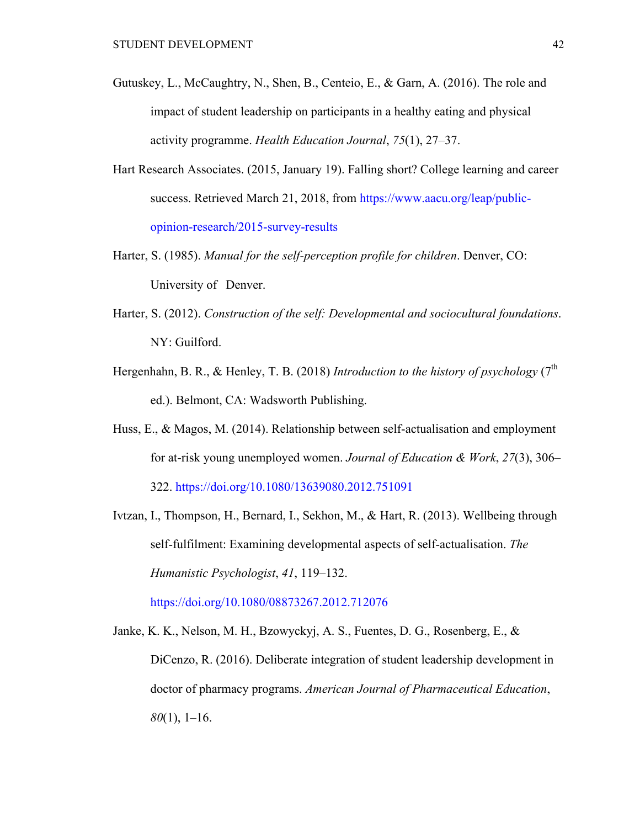- Gutuskey, L., McCaughtry, N., Shen, B., Centeio, E., & Garn, A. (2016). The role and impact of student leadership on participants in a healthy eating and physical activity programme. *Health Education Journal*, *75*(1), 27–37.
- Hart Research Associates. (2015, January 19). Falling short? College learning and career success. Retrieved March 21, 2018, from https://www.aacu.org/leap/publicopinion-research/2015-survey-results
- Harter, S. (1985). *Manual for the self-perception profile for children*. Denver, CO: University of Denver.
- Harter, S. (2012). *Construction of the self: Developmental and sociocultural foundations*. NY: Guilford.
- Hergenhahn, B. R., & Henley, T. B. (2018) *Introduction to the history of psychology* (7<sup>th</sup>) ed.). Belmont, CA: Wadsworth Publishing.
- Huss, E., & Magos, M. (2014). Relationship between self-actualisation and employment for at-risk young unemployed women. *Journal of Education & Work*, *27*(3), 306– 322. https://doi.org/10.1080/13639080.2012.751091
- Ivtzan, I., Thompson, H., Bernard, I., Sekhon, M., & Hart, R. (2013). Wellbeing through self-fulfilment: Examining developmental aspects of self-actualisation. *The Humanistic Psychologist*, *41*, 119–132.

https://doi.org/10.1080/08873267.2012.712076

Janke, K. K., Nelson, M. H., Bzowyckyj, A. S., Fuentes, D. G., Rosenberg, E., & DiCenzo, R. (2016). Deliberate integration of student leadership development in doctor of pharmacy programs. *American Journal of Pharmaceutical Education*, *80*(1), 1–16.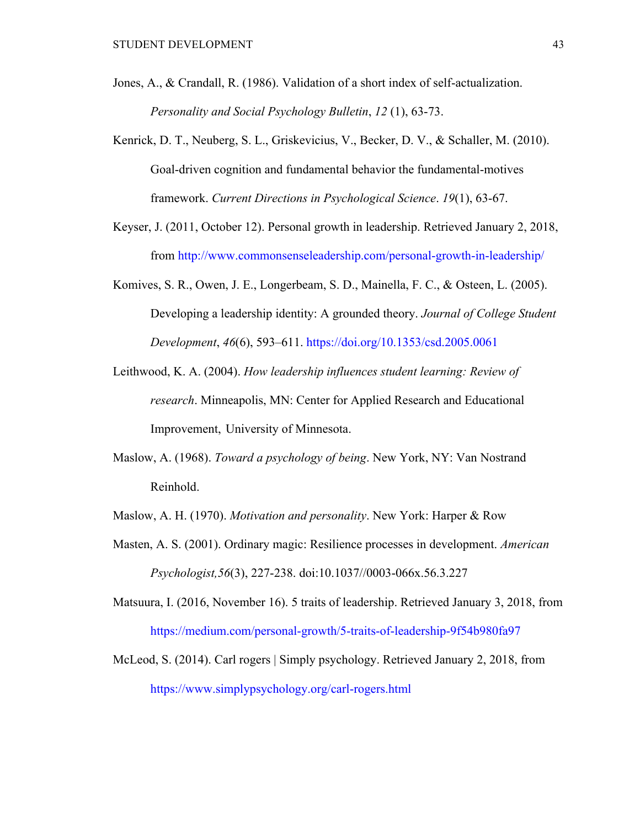- Jones, A., & Crandall, R. (1986). Validation of a short index of self-actualization. *Personality and Social Psychology Bulletin*, *12* (1), 63-73.
- Kenrick, D. T., Neuberg, S. L., Griskevicius, V., Becker, D. V., & Schaller, M. (2010). Goal-driven cognition and fundamental behavior the fundamental-motives framework. *Current Directions in Psychological Science*. *19*(1), 63-67.
- Keyser, J. (2011, October 12). Personal growth in leadership. Retrieved January 2, 2018, from http://www.commonsenseleadership.com/personal-growth-in-leadership/
- Komives, S. R., Owen, J. E., Longerbeam, S. D., Mainella, F. C., & Osteen, L. (2005). Developing a leadership identity: A grounded theory. *Journal of College Student Development*, *46*(6), 593–611. https://doi.org/10.1353/csd.2005.0061
- Leithwood, K. A. (2004). *How leadership influences student learning: Review of research*. Minneapolis, MN: Center for Applied Research and Educational Improvement, University of Minnesota.
- Maslow, A. (1968). *Toward a psychology of being*. New York, NY: Van Nostrand Reinhold.
- Maslow, A. H. (1970). *Motivation and personality*. New York: Harper & Row
- Masten, A. S. (2001). Ordinary magic: Resilience processes in development. *American Psychologist,56*(3), 227-238. doi:10.1037//0003-066x.56.3.227

Matsuura, I. (2016, November 16). 5 traits of leadership. Retrieved January 3, 2018, from https://medium.com/personal-growth/5-traits-of-leadership-9f54b980fa97

McLeod, S. (2014). Carl rogers | Simply psychology. Retrieved January 2, 2018, from https://www.simplypsychology.org/carl-rogers.html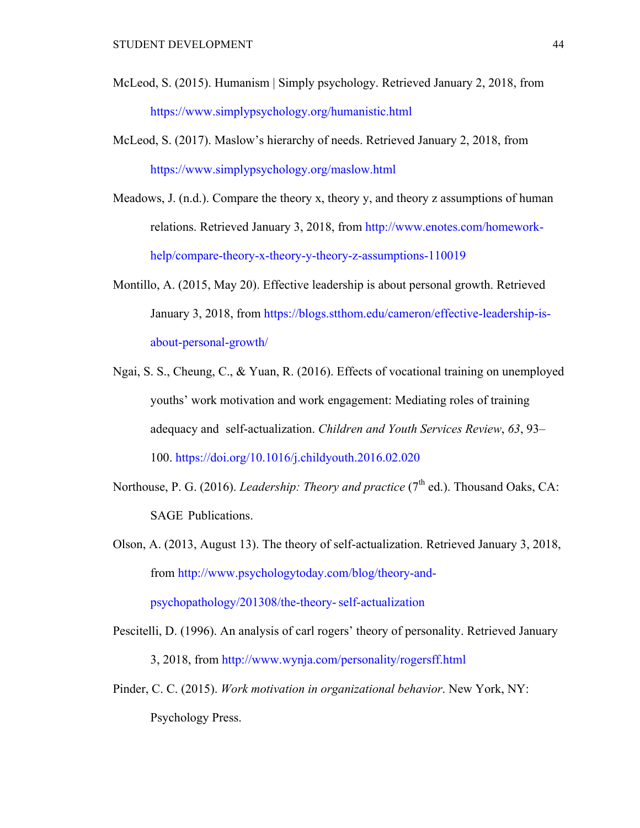- McLeod, S. (2015). Humanism | Simply psychology. Retrieved January 2, 2018, from https://www.simplypsychology.org/humanistic.html
- McLeod, S. (2017). Maslow's hierarchy of needs. Retrieved January 2, 2018, from https://www.simplypsychology.org/maslow.html
- Meadows, J. (n.d.). Compare the theory x, theory y, and theory z assumptions of human relations. Retrieved January 3, 2018, from http://www.enotes.com/homeworkhelp/compare-theory-x-theory-y-theory-z-assumptions-110019
- Montillo, A. (2015, May 20). Effective leadership is about personal growth. Retrieved January 3, 2018, from https://blogs.stthom.edu/cameron/effective-leadership-isabout-personal-growth/
- Ngai, S. S., Cheung, C., & Yuan, R. (2016). Effects of vocational training on unemployed youths' work motivation and work engagement: Mediating roles of training adequacy and self-actualization. *Children and Youth Services Review*, *63*, 93– 100. https://doi.org/10.1016/j.childyouth.2016.02.020
- Northouse, P. G. (2016). *Leadership: Theory and practice* (7<sup>th</sup> ed.). Thousand Oaks, CA: SAGE Publications.
- Olson, A. (2013, August 13). The theory of self-actualization. Retrieved January 3, 2018, from http://www.psychologytoday.com/blog/theory-andpsychopathology/201308/the-theory-self-actualization
- Pescitelli, D. (1996). An analysis of carl rogers' theory of personality. Retrieved January 3, 2018, from http://www.wynja.com/personality/rogersff.html
- Pinder, C. C. (2015). *Work motivation in organizational behavior*. New York, NY: Psychology Press.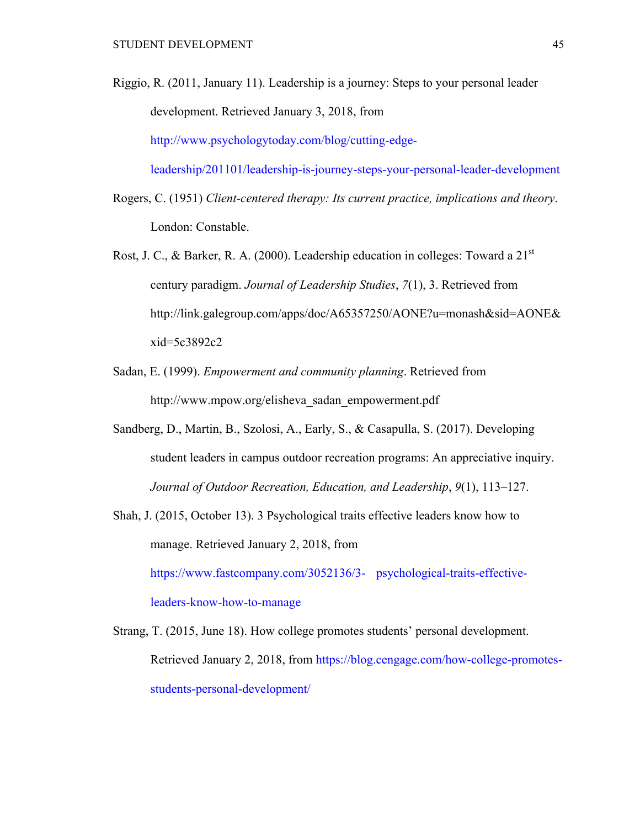Riggio, R. (2011, January 11). Leadership is a journey: Steps to your personal leader development. Retrieved January 3, 2018, from http://www.psychologytoday.com/blog/cutting-edge-

leadership/201101/leadership-is-journey-steps-your-personal-leader-development

- Rogers, C. (1951) *Client-centered therapy: Its current practice, implications and theory*. London: Constable.
- Rost, J. C., & Barker, R. A. (2000). Leadership education in colleges: Toward a  $21<sup>st</sup>$ century paradigm. *Journal of Leadership Studies*, *7*(1), 3. Retrieved from http://link.galegroup.com/apps/doc/A65357250/AONE?u=monash&sid=AONE& xid=5c3892c2
- Sadan, E. (1999). *Empowerment and community planning*. Retrieved from http://www.mpow.org/elisheva\_sadan\_empowerment.pdf
- Sandberg, D., Martin, B., Szolosi, A., Early, S., & Casapulla, S. (2017). Developing student leaders in campus outdoor recreation programs: An appreciative inquiry. *Journal of Outdoor Recreation, Education, and Leadership*, *9*(1), 113–127.
- Shah, J. (2015, October 13). 3 Psychological traits effective leaders know how to manage. Retrieved January 2, 2018, from https://www.fastcompany.com/3052136/3- psychological-traits-effectiveleaders-know-how-to-manage
- Strang, T. (2015, June 18). How college promotes students' personal development. Retrieved January 2, 2018, from https://blog.cengage.com/how-college-promotesstudents-personal-development/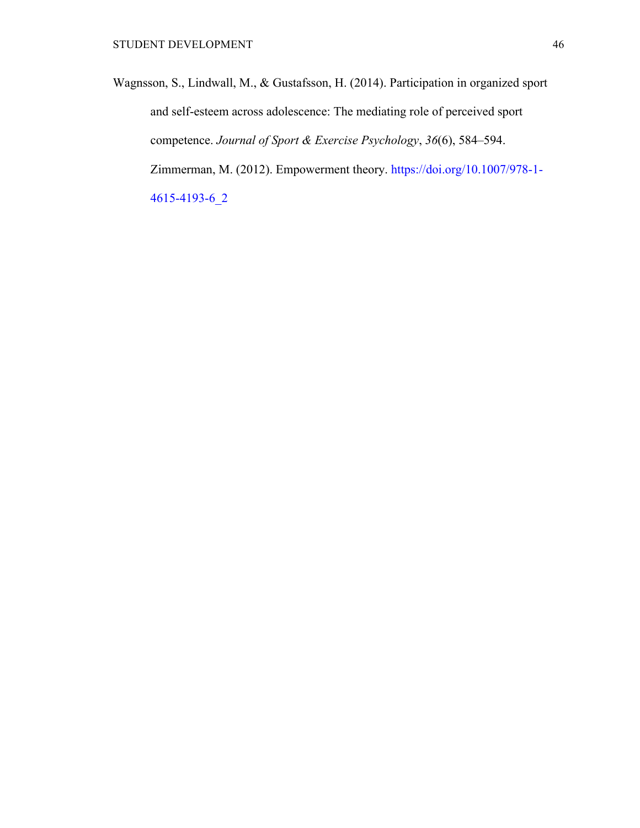Wagnsson, S., Lindwall, M., & Gustafsson, H. (2014). Participation in organized sport and self-esteem across adolescence: The mediating role of perceived sport competence. *Journal of Sport & Exercise Psychology*, *36*(6), 584–594. Zimmerman, M. (2012). Empowerment theory. https://doi.org/10.1007/978-1- 4615-4193-6\_2